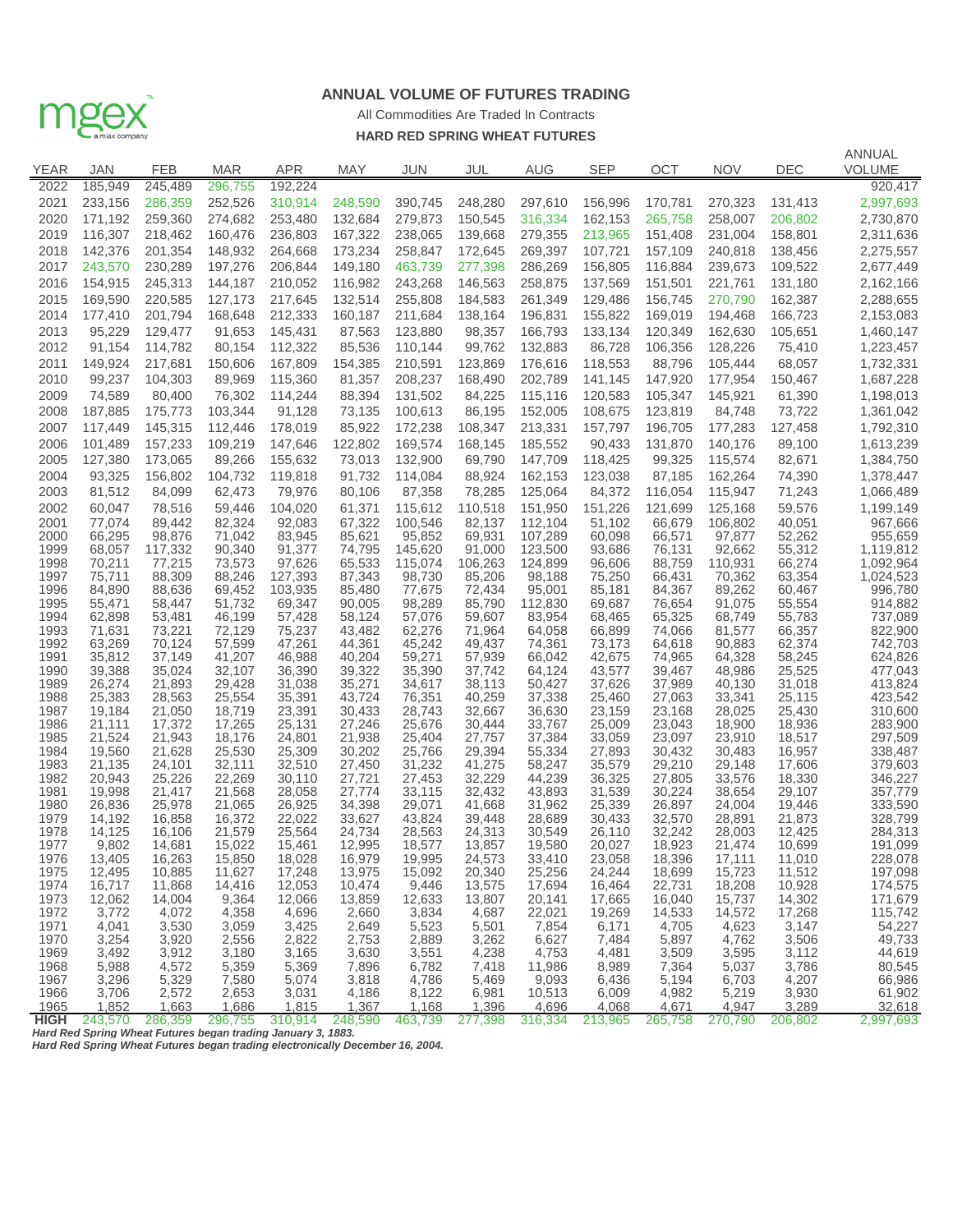

## **ANNUAL VOLUME OF FUTURES TRADING**

## **HARD RED SPRING WHEAT FUTURES** All Commodities Are Traded In Contracts

|              |                   |                                                              |                   |                    |                  |                    |                   |                    |                    |                    |                    |                    | ANNUAL                 |
|--------------|-------------------|--------------------------------------------------------------|-------------------|--------------------|------------------|--------------------|-------------------|--------------------|--------------------|--------------------|--------------------|--------------------|------------------------|
| YEAR         | JAN               | FEB                                                          | <b>MAR</b>        | <b>APR</b>         | <b>MAY</b>       | <b>JUN</b>         | JUL               | <b>AUG</b>         | <b>SEP</b>         | ОСТ                | <b>NOV</b>         | DEC                | <b>VOLUME</b>          |
| 2022         | 185,949           | 245,489                                                      | 296,755           | 192.224            |                  |                    |                   |                    |                    |                    |                    |                    | 920,417                |
| 2021         | 233,156           | 286,359                                                      | 252,526           | 310,914            | 248,590          | 390,745            | 248,280           | 297,610            | 156,996            | 170,781            | 270,323            | 131,413            | 2,997,693              |
| 2020         | 171,192           | 259,360                                                      | 274,682           | 253,480            | 132,684          | 279,873            | 150,545           | 316,334            | 162,153            | 265,758            | 258,007            | 206,802            | 2,730,870              |
| 2019         | 116,307           | 218,462                                                      | 160,476           | 236,803            | 167,322          | 238,065            | 139,668           | 279,355            | 213,965            | 151,408            | 231,004            | 158,801            | 2,311,636              |
| 2018         | 142,376           | 201,354                                                      | 148,932           | 264,668            | 173,234          | 258,847            | 172,645           | 269,397            | 107,721            | 157,109            | 240,818            | 138,456            | 2,275,557              |
| 2017         | 243,570           | 230,289                                                      | 197,276           | 206,844            | 149,180          | 463,739            | 277,398           | 286,269            | 156,805            | 116,884            | 239,673            | 109,522            | 2,677,449              |
| 2016         | 154,915           | 245,313                                                      | 144,187           | 210,052            | 116,982          | 243,268            | 146,563           | 258,875            | 137,569            | 151,501            | 221,761            | 131,180            | 2,162,166              |
| 2015         | 169,590           | 220,585                                                      | 127,173           | 217,645            | 132,514          | 255,808            | 184,583           | 261,349            | 129,486            | 156,745            | 270,790            | 162,387            | 2,288,655              |
| 2014<br>2013 | 177,410<br>95,229 | 201,794<br>129,477                                           | 168,648<br>91,653 | 212,333<br>145,431 | 160,187          | 211,684<br>123,880 | 138,164<br>98,357 | 196,831<br>166,793 | 155,822<br>133,134 | 169,019<br>120,349 | 194,468<br>162,630 | 166,723<br>105,651 | 2,153,083              |
| 2012         | 91,154            | 114,782                                                      | 80,154            | 112,322            | 87,563<br>85,536 | 110,144            | 99,762            | 132,883            | 86,728             | 106,356            |                    |                    | 1,460,147              |
| 2011         | 149,924           | 217,681                                                      | 150,606           | 167,809            | 154,385          | 210,591            | 123,869           | 176,616            | 118,553            | 88,796             | 128,226<br>105,444 | 75,410<br>68,057   | 1,223,457<br>1,732,331 |
| 2010         | 99,237            | 104,303                                                      | 89,969            | 115,360            | 81,357           | 208,237            | 168,490           | 202,789            | 141,145            | 147,920            | 177,954            | 150,467            | 1,687,228              |
| 2009         | 74,589            | 80,400                                                       | 76,302            | 114,244            | 88,394           | 131,502            | 84,225            | 115,116            | 120,583            | 105,347            | 145,921            | 61,390             | 1,198,013              |
| 2008         | 187,885           | 175,773                                                      | 103,344           | 91,128             | 73,135           | 100,613            | 86,195            | 152,005            | 108,675            | 123,819            | 84,748             | 73,722             | 1,361,042              |
| 2007         | 117,449           | 145,315                                                      | 112,446           | 178,019            | 85,922           | 172,238            | 108,347           | 213,331            | 157,797            | 196,705            | 177,283            | 127,458            | 1,792,310              |
| 2006         | 101,489           | 157,233                                                      | 109,219           | 147,646            | 122,802          | 169,574            | 168,145           | 185,552            | 90,433             | 131,870            | 140,176            | 89,100             | 1,613,239              |
| 2005         | 127,380           | 173,065                                                      | 89,266            | 155,632            | 73,013           | 132,900            | 69,790            | 147,709            | 118,425            | 99,325             | 115,574            | 82,671             | 1,384,750              |
| 2004         | 93,325            | 156,802                                                      | 104,732           | 119,818            | 91,732           | 114,084            | 88,924            | 162,153            | 123,038            | 87,185             | 162,264            | 74,390             | 1,378,447              |
| 2003         | 81,512            | 84,099                                                       | 62,473            | 79,976             | 80,106           | 87,358             | 78,285            | 125,064            | 84,372             | 116,054            | 115,947            | 71,243             | 1,066,489              |
| 2002         | 60,047            | 78,516                                                       | 59,446            | 104,020            | 61,371           | 115,612            | 110,518           | 151,950            | 151,226            | 121,699            | 125,168            | 59,576             | 1,199,149              |
| 2001         | 77,074            | 89,442                                                       | 82,324            | 92,083             | 67,322           | 100,546            | 82,137            | 112,104            | 51,102             | 66.679             | 106,802            | 40,051             | 967,666                |
| 2000         | 66,295            | 98,876                                                       | 71,042            | 83,945             | 85,621           | 95,852             | 69,931            | 107,289            | 60,098             | 66,571             | 97,877             | 52,262             | 955,659                |
| 1999         | 68,057            | 117,332                                                      | 90,340            | 91,377             | 74,795           | 145,620            | 91.000            | 123,500            | 93,686             | 76,131             | 92,662             | 55,312             | 1,119,812              |
| 1998         | 70,211            | 77,215                                                       | 73,573            | 97,626             | 65,533           | 115,074            | 106,263           | 124,899            | 96,606             | 88,759             | 110,931            | 66,274             | 1,092,964              |
| 1997<br>1996 | 75,711<br>84.890  | 88,309<br>88,636                                             | 88,246<br>69,452  | 127,393<br>103,935 | 87,343<br>85,480 | 98,730<br>77,675   | 85,206<br>72,434  | 98,188<br>95,001   | 75,250<br>85,181   | 66,431<br>84,367   | 70,362<br>89,262   | 63,354<br>60,467   | 1,024,523<br>996,780   |
| 1995         | 55,471            | 58,447                                                       | 51,732            | 69,347             | 90,005           | 98,289             | 85,790            | 112,830            | 69,687             | 76,654             | 91,075             | 55,554             | 914,882                |
| 1994         | 62,898            | 53,481                                                       | 46,199            | 57,428             | 58,124           | 57,076             | 59,607            | 83,954             | 68,465             | 65,325             | 68,749             | 55,783             | 737,089                |
| 1993         | 71,631            | 73,221                                                       | 72,129            | 75,237             | 43,482           | 62,276             | 71,964            | 64,058             | 66,899             | 74,066             | 81,577             | 66,357             | 822,900                |
| 1992         | 63,269            | 70,124                                                       | 57,599            | 47,261             | 44,361           | 45,242             | 49,437            | 74,361             | 73,173             | 64,618             | 90,883             | 62,374             | 742,703                |
| 1991<br>1990 | 35,812<br>39,388  | 37,149<br>35,024                                             | 41,207<br>32,107  | 46,988<br>36,390   | 40,204<br>39,322 | 59,271<br>35,390   | 57,939<br>37,742  | 66,042<br>64,124   | 42,675<br>43,577   | 74,965<br>39,467   | 64,328<br>48,986   | 58,245<br>25,525   | 624,826<br>477,043     |
| 1989         | 26,274            | 21,893                                                       | 29,428            | 31,038             | 35,271           | 34,617             | 38,113            | 50,427             | 37,626             | 37,989             | 40,130             | 31,018             | 413,824                |
| 1988         | 25,383            | 28,563                                                       | 25,554            | 35,391             | 43,724           | 76,351             | 40,259            | 37,338             | 25,460             | 27,063             | 33,341             | 25,115             | 423,542                |
| 1987         | 19,184            | 21,050                                                       | 18,719            | 23,391             | 30,433           | 28,743             | 32,667            | 36,630             | 23,159             | 23,168             | 28,025             | 25,430             | 310,600                |
| 1986         | 21,111            | 17,372                                                       | 17,265            | 25,131             | 27,246           | 25,676             | 30,444            | 33,767             | 25,009             | 23,043             | 18,900             | 18,936             | 283,900                |
| 1985         | 21,524            | 21,943                                                       | 18,176            | 24,801             | 21,938           | 25,404             | 27,757            | 37,384             | 33,059             | 23,097             | 23,910             | 18,517             | 297,509                |
| 1984<br>1983 | 19,560<br>21,135  | 21,628<br>24,101                                             | 25,530<br>32,111  | 25,309<br>32,510   | 30,202<br>27,450 | 25,766<br>31,232   | 29,394<br>41,275  | 55,334<br>58,247   | 27,893<br>35,579   | 30,432<br>29,210   | 30,483<br>29,148   | 16,957<br>17,606   | 338,487<br>379,603     |
| 1982         | 20,943            | 25,226                                                       | 22,269            | 30,110             | 27,721           | 27,453             | 32,229            | 44,239             | 36,325             | 27,805             | 33,576             | 18,330             | 346,227                |
| 1981         | 19,998            | 21,417                                                       | 21,568            | 28,058             | 27,774           | 33,115             | 32,432            | 43,893             | 31,539             | 30,224             | 38,654             | 29,107             | 357,779                |
| 1980         | 26,836            | 25,978                                                       | 21,065            | 26,925             | 34,398           | 29,071             | 41,668            | 31,962             | 25,339             | 26,897             | 24,004             | 19,446             | 333,590                |
| 1979         | 14,192            | 16,858                                                       | 16,372            | 22,022             | 33,627           | 43,824             | 39,448            | 28,689             | 30,433             | 32,570             | 28,891             | 21,873             | 328,799                |
| 1978<br>1977 | 14,125<br>9,802   | 16,106<br>14,681                                             | 21,579<br>15,022  | 25,564<br>15,461   | 24,734<br>12,995 | 28,563<br>18,577   | 24,313<br>13,857  | 30,549<br>19,580   | 26,110<br>20,027   | 32,242<br>18,923   | 28,003<br>21,474   | 12,425<br>10,699   | 284,313<br>191,099     |
| 1976         | 13,405            | 16,263                                                       | 15,850            | 18,028             | 16,979           | 19,995             | 24,573            | 33,410             | 23,058             | 18,396             | 17,111             | 11,010             | 228,078                |
| 1975         | 12,495            | 10,885                                                       | 11,627            | 17,248             | 13,975           | 15,092             | 20,340            | 25,256             | 24,244             | 18,699             | 15,723             | 11,512             | 197,098                |
| 1974         | 16,717            | 11,868                                                       | 14,416            | 12,053             | 10,474           | 9,446              | 13,575            | 17,694             | 16,464             | 22,731             | 18,208             | 10,928             | 174,575                |
| 1973         | 12,062            | 14,004                                                       | 9,364             | 12,066             | 13,859           | 12,633             | 13,807            | 20,141             | 17,665             | 16,040             | 15,737             | 14,302             | 171,679                |
| 1972<br>1971 | 3,772<br>4,041    | 4,072<br>3,530                                               | 4,358<br>3,059    | 4,696<br>3,425     | 2,660<br>2,649   | 3,834<br>5,523     | 4,687<br>5,501    | 22,021<br>7,854    | 19,269<br>6,171    | 14,533<br>4,705    | 14,572<br>4,623    | 17,268<br>3,147    | 115,742<br>54,227      |
| 1970         | 3,254             | 3,920                                                        | 2,556             | 2,822              | 2,753            | 2,889              | 3,262             | 6,627              | 7,484              | 5,897              | 4,762              | 3,506              | 49,733                 |
| 1969         | 3,492             | 3,912                                                        | 3,180             | 3,165              | 3,630            | 3,551              | 4,238             | 4,753              | 4,481              | 3,509              | 3,595              | 3,112              | 44,619                 |
| 1968         | 5,988             | 4,572                                                        | 5,359             | 5,369              | 7,896            | 6,782              | 7,418             | 11,986             | 8,989              | 7,364              | 5,037              | 3,786              | 80,545                 |
| 1967         | 3,296             | 5,329                                                        | 7,580             | 5,074              | 3,818            | 4,786              | 5,469             | 9,093              | 6,436              | 5,194              | 6,703              | 4,207              | 66,986                 |
| 1966<br>1965 | 3,706<br>1,852    | 2,572<br>1,663                                               | 2,653<br>1,686    | 3,031<br>1,815     | 4,186<br>1,367   | 8,122<br>1,168     | 6,981<br>1,396    | 10,513<br>4,696    | 6,009<br>4,068     | 4,982<br>4,671     | 5,219<br>4,947     | 3,930<br>3,289     | 61,902<br>32,618       |
| <b>HIGH</b>  | 243,570           | 286,359                                                      | 296,755           | 310,914            | 248,590          | 463,739            | 277,398           | 316,334            | 213,965            | 265,758            | 270,790            | 206,802            | 2,997,693              |
|              |                   | Hard Red Spring Wheat Futures began trading January 3, 1883. |                   |                    |                  |                    |                   |                    |                    |                    |                    |                    |                        |

*Hard Red Spring Wheat Futures began trading electronically December 16, 2004.*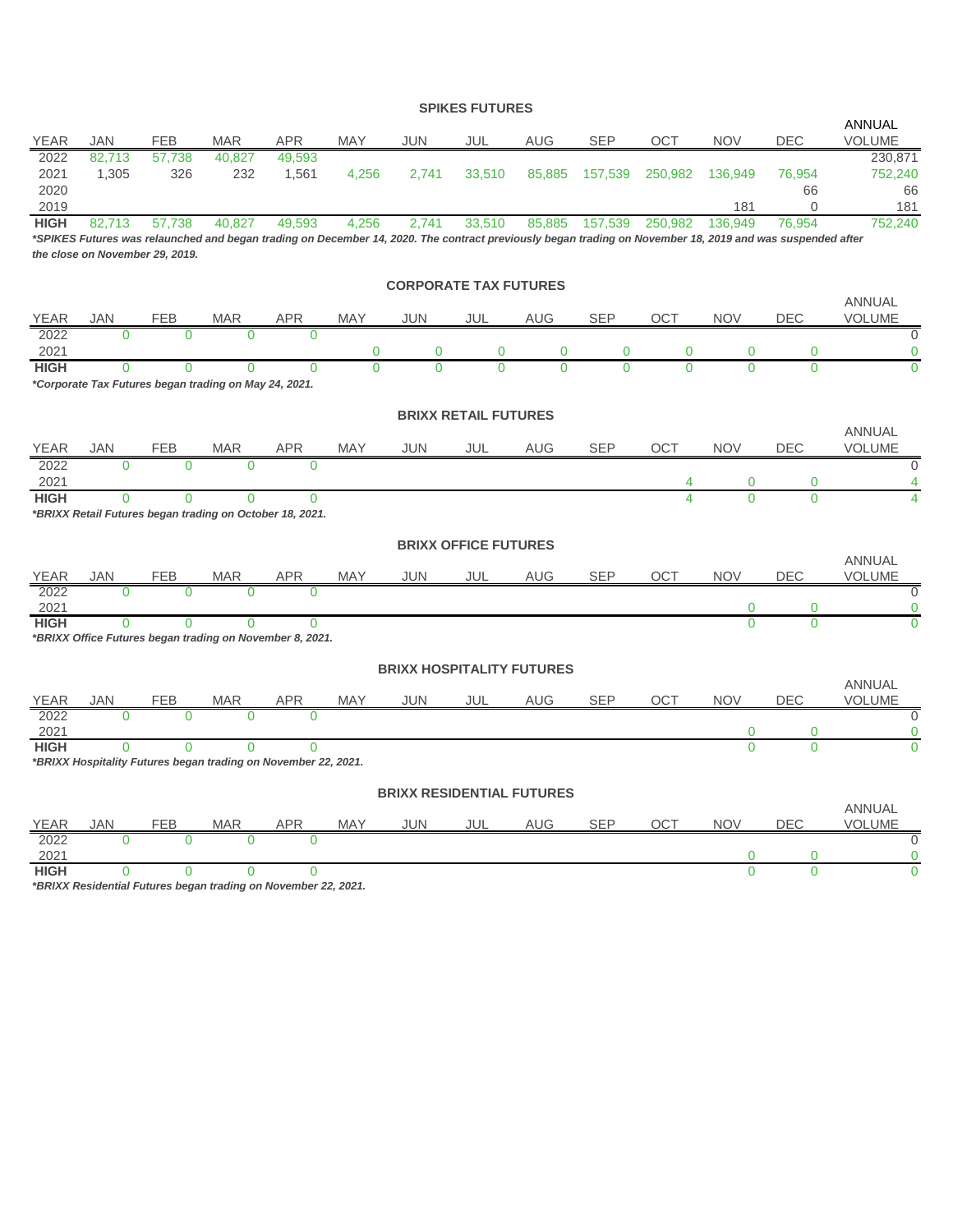### **SPIKES FUTURES**

|                      |                 |                                 |                                                                |                 |            |                                  |                             |            |            |             |                |                                                                                                                                                           | <b>ANNUAL</b>                  |
|----------------------|-----------------|---------------------------------|----------------------------------------------------------------|-----------------|------------|----------------------------------|-----------------------------|------------|------------|-------------|----------------|-----------------------------------------------------------------------------------------------------------------------------------------------------------|--------------------------------|
| <b>YEAR</b>          | <b>JAN</b>      | <b>FEB</b>                      | <b>MAR</b>                                                     | <b>APR</b>      | <b>MAY</b> | JUN                              | JUL                         | <b>AUG</b> | <b>SEP</b> | OCT         | <b>NOV</b>     | DEC                                                                                                                                                       | <b>VOLUME</b>                  |
| 2022<br>2021<br>2020 | 82,713<br>1,305 | 57,738<br>326                   | 40,827<br>232                                                  | 49,593<br>1,561 | 4,256      | 2,741                            | 33,510                      | 85,885     | 157,539    | 250,982     | 136,949        | 76,954<br>66                                                                                                                                              | 230,871<br>752,240<br>66       |
| 2019                 |                 |                                 |                                                                |                 |            |                                  |                             |            |            |             | 181            | $\Omega$                                                                                                                                                  | 181                            |
| <b>HIGH</b>          | 82,713          | 57,738                          | 40,827                                                         | 49,593          | 4,256      | 2,741                            | 33,510                      | 85,885     | 157,539    | 250,982     | 136,949        | 76,954                                                                                                                                                    | 752,240                        |
|                      |                 |                                 |                                                                |                 |            |                                  |                             |            |            |             |                | *SPIKES Futures was relaunched and began trading on December 14, 2020. The contract previously began trading on November 18, 2019 and was suspended after |                                |
|                      |                 | the close on November 29, 2019. |                                                                |                 |            |                                  |                             |            |            |             |                |                                                                                                                                                           |                                |
|                      |                 |                                 |                                                                |                 |            | <b>CORPORATE TAX FUTURES</b>     |                             |            |            |             |                |                                                                                                                                                           |                                |
|                      |                 |                                 |                                                                |                 |            |                                  |                             |            |            |             |                |                                                                                                                                                           | <b>ANNUAL</b>                  |
| <b>YEAR</b>          | JAN             | FEB                             | <b>MAR</b>                                                     | <b>APR</b>      | MAY        | <b>JUN</b>                       | JUL                         | AUG        | <b>SEP</b> | OCT         | <b>NOV</b>     | <b>DEC</b>                                                                                                                                                | <b>VOLUME</b>                  |
| 2022                 | $\Omega$        | $\Omega$                        | $\Omega$                                                       | $\Omega$        |            |                                  |                             |            |            |             |                |                                                                                                                                                           | $\Omega$                       |
| 2021                 |                 |                                 |                                                                |                 | 0          | 0                                | 0                           | 0          | 0          | $\mathbf 0$ | 0              | 0                                                                                                                                                         | 0                              |
| <b>HIGH</b>          | $\Omega$        | $\Omega$                        | $\Omega$                                                       | $\Omega$        | $\Omega$   | $\Omega$                         | Ò                           | $\Omega$   |            | $\Omega$    | $\Omega$       | $\Omega$                                                                                                                                                  | $\Omega$                       |
|                      |                 |                                 | *Corporate Tax Futures began trading on May 24, 2021.          |                 |            |                                  |                             |            |            |             |                |                                                                                                                                                           |                                |
|                      |                 |                                 |                                                                |                 |            |                                  |                             |            |            |             |                |                                                                                                                                                           |                                |
|                      |                 |                                 |                                                                |                 |            |                                  | <b>BRIXX RETAIL FUTURES</b> |            |            |             |                |                                                                                                                                                           |                                |
| YEAR                 | <b>JAN</b>      | <b>FEB</b>                      | <b>MAR</b>                                                     | <b>APR</b>      | <b>MAY</b> | <b>JUN</b>                       | JUL                         | AUG        | <b>SEP</b> | <b>OCT</b>  | <b>NOV</b>     | <b>DEC</b>                                                                                                                                                | <b>ANNUAL</b><br><b>VOLUME</b> |
| 2022                 | $\overline{0}$  | $\Omega$                        | $\Omega$                                                       | $\Omega$        |            |                                  |                             |            |            |             |                |                                                                                                                                                           | $\mathbf{0}$                   |
| 2021                 |                 |                                 |                                                                |                 |            |                                  |                             |            |            | 4           | $\overline{0}$ | $\mathbf 0$                                                                                                                                               | 4                              |
| <b>HIGH</b>          | $\Omega$        | $\Omega$                        | $\Omega$                                                       | $\Omega$        |            |                                  |                             |            |            | 4           | $\Omega$       | $\Omega$                                                                                                                                                  |                                |
|                      |                 |                                 | *BRIXX Retail Futures began trading on October 18, 2021.       |                 |            |                                  |                             |            |            |             |                |                                                                                                                                                           |                                |
|                      |                 |                                 |                                                                |                 |            |                                  |                             |            |            |             |                |                                                                                                                                                           |                                |
|                      |                 |                                 |                                                                |                 |            |                                  | <b>BRIXX OFFICE FUTURES</b> |            |            |             |                |                                                                                                                                                           |                                |
|                      |                 |                                 |                                                                |                 |            |                                  |                             |            | SEP        | OCT         | <b>NOV</b>     | DEC                                                                                                                                                       | <b>ANNUAL</b><br>VOLUME        |
| <u>YEAR</u><br>2022  |                 |                                 | <u>MAR</u><br>$\overline{0}$                                   | <b>APR</b>      | <b>MAY</b> | JUN                              | JUL                         | AUG        |            |             |                |                                                                                                                                                           | $\Omega$                       |
| 2021                 |                 |                                 |                                                                |                 |            |                                  |                             |            |            |             | 0              | $\mathbf 0$                                                                                                                                               |                                |
| <b>HIGH</b>          | $\Omega$        | $\overline{0}$                  | $\Omega$                                                       | $\Omega$        |            |                                  |                             |            |            |             | $\overline{0}$ | $\overline{0}$                                                                                                                                            |                                |
|                      |                 |                                 | *BRIXX Office Futures began trading on November 8, 2021.       |                 |            |                                  |                             |            |            |             |                |                                                                                                                                                           |                                |
|                      |                 |                                 |                                                                |                 |            |                                  |                             |            |            |             |                |                                                                                                                                                           |                                |
|                      |                 |                                 |                                                                |                 |            | <b>BRIXX HOSPITALITY FUTURES</b> |                             |            |            |             |                |                                                                                                                                                           | <b>ANNUAL</b>                  |
| YEAR                 |                 | FEB                             | <b>MAR</b>                                                     | <b>APR</b>      | <b>MAY</b> | JUN                              | JUL                         | AUG        | <b>SEP</b> | OCT         | <b>NOV</b>     | DEC                                                                                                                                                       | <b>VOLUME</b>                  |
| 2022                 | $\Omega$        | $\Omega$                        | $\overline{0}$                                                 | $\overline{0}$  |            |                                  |                             |            |            |             |                |                                                                                                                                                           | $\Omega$                       |
| 2021                 |                 |                                 |                                                                |                 |            |                                  |                             |            |            |             | 0              | $\mathbf 0$                                                                                                                                               |                                |
| <b>HIGH</b>          | $\Omega$        | $\Omega$                        | $\Omega$                                                       | $\Omega$        |            |                                  |                             |            |            |             | $\Omega$       | $\Omega$                                                                                                                                                  |                                |
|                      |                 |                                 | *BRIXX Hospitality Futures began trading on November 22, 2021. |                 |            |                                  |                             |            |            |             |                |                                                                                                                                                           |                                |
|                      |                 |                                 |                                                                |                 |            | <b>BRIXX RESIDENTIAL FUTURES</b> |                             |            |            |             |                |                                                                                                                                                           |                                |
|                      |                 |                                 |                                                                |                 |            |                                  |                             |            |            |             |                |                                                                                                                                                           | <b>ANNUAL</b>                  |
| <b>YEAR</b>          |                 |                                 | <u>MAR</u>                                                     | <u>APR</u>      | MAY        | JUN                              | JUL                         | AUG        | <b>SEP</b> | OCT         | <b>NOV</b>     | DEC                                                                                                                                                       | VOLUME                         |
| 2022                 |                 |                                 | $\Omega$                                                       |                 |            |                                  |                             |            |            |             |                |                                                                                                                                                           | $\overline{0}$                 |
| 2021                 |                 |                                 |                                                                |                 |            |                                  |                             |            |            |             | 0              | $\mathbf 0$                                                                                                                                               | 0                              |
| <b>HIGH</b>          | 0               | $\overline{0}$                  | $\overline{0}$                                                 | $\mathbf{0}$    | 000000     |                                  |                             |            |            |             | $\overline{0}$ | $\overline{0}$                                                                                                                                            | $\overline{0}$                 |

*\*BRIXX Residential Futures began trading on November 22, 2021.*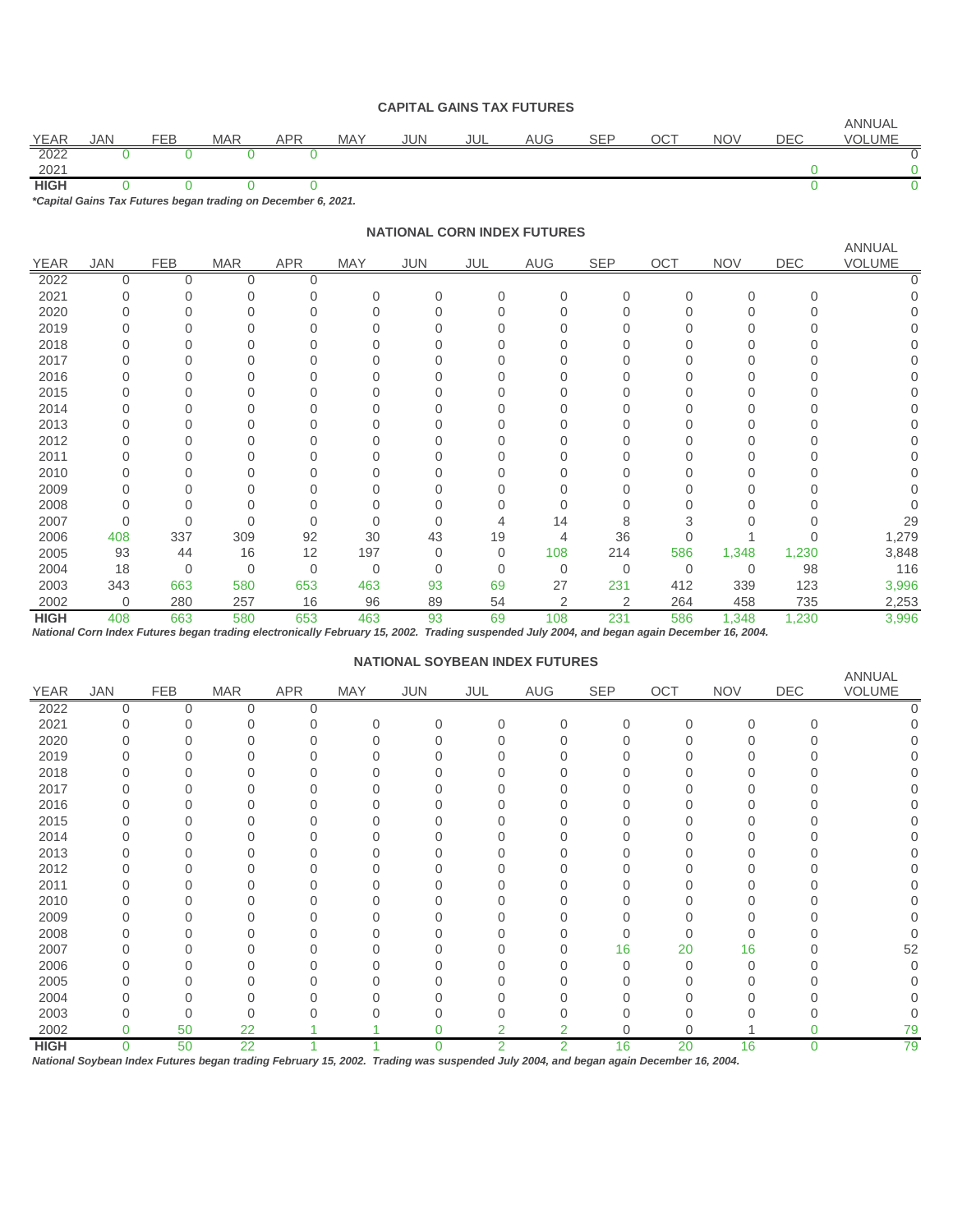#### **CAPITAL GAINS TAX FUTURES**

| <b>YEAR</b> | JAN | FEB | <b>MAR</b>                                                    | APR | <b>MAY</b> | JUN | JUL | AUG | SEP | ОСТ | <b>NOV</b> | DEC | <b>ANNUAL</b><br>VOLUME |
|-------------|-----|-----|---------------------------------------------------------------|-----|------------|-----|-----|-----|-----|-----|------------|-----|-------------------------|
|             |     |     |                                                               |     |            |     |     |     |     |     |            |     |                         |
| 2022        |     |     |                                                               |     |            |     |     |     |     |     |            |     |                         |
| 2021        |     |     |                                                               |     |            |     |     |     |     |     |            |     |                         |
| <b>HIGH</b> |     |     |                                                               |     |            |     |     |     |     |     |            |     |                         |
|             |     |     | *Capital Gains Tax Futures began trading on December 6, 2021. |     |            |     |     |     |     |     |            |     |                         |

**NATIONAL CORN INDEX FUTURES**

|             |                |            |             |            |          |            |          |                |            |             |              |            | <b>ANNUAL</b> |
|-------------|----------------|------------|-------------|------------|----------|------------|----------|----------------|------------|-------------|--------------|------------|---------------|
| <b>YEAR</b> | JAN            | <b>FEB</b> | <b>MAR</b>  | <b>APR</b> | MAY      | <b>JUN</b> | JUL      | AUG            | <b>SEP</b> | OCT         | <b>NOV</b>   | <b>DEC</b> | VOLUME        |
| 2022        | $\mathbf 0$    | $\Omega$   | 0           |            |          |            |          |                |            |             |              |            |               |
| 2021        |                |            |             |            | $\Omega$ | $\Omega$   | 0        | $\Omega$       |            | $\Omega$    | $\Omega$     | $\Omega$   |               |
| 2020        |                |            |             |            |          |            |          |                |            |             |              |            |               |
| 2019        |                |            |             |            |          |            |          |                |            |             |              |            |               |
| 2018        |                |            |             |            |          |            |          |                |            |             |              |            |               |
| 2017        |                |            |             |            |          |            |          |                |            |             |              |            |               |
| 2016        |                |            |             |            |          |            |          |                |            |             |              |            |               |
| 2015        |                |            |             |            |          |            |          |                |            |             |              |            |               |
| 2014        |                |            |             |            |          |            |          |                |            |             |              |            |               |
| 2013        |                |            |             |            |          |            |          |                |            |             |              |            |               |
| 2012        |                |            |             |            |          |            |          |                |            |             |              |            |               |
| 2011        |                |            |             |            |          |            |          |                |            |             |              |            |               |
| 2010        |                |            |             |            |          |            |          |                |            |             |              |            |               |
| 2009        |                |            |             |            |          |            |          |                |            |             |              |            |               |
| 2008        |                |            |             |            |          |            |          |                |            |             |              |            |               |
| 2007        | $\Omega$       |            |             |            |          |            |          | 14             | 8          |             |              |            | 29            |
| 2006        | 408            | 337        | 309         | 92         | 30       | 43         | 19       | 4              | 36         |             |              |            | 1,279         |
| 2005        | 93             | 44         | 16          | 12         | 197      | 0          | $\Omega$ | 108            | 214        | 586         | 1,348        | 1,230      | 3,848         |
| 2004        | 18             | 0          | $\mathbf 0$ | $\Omega$   | 0        | 0          | 0        | $\Omega$       | 0          | $\mathbf 0$ | $\mathbf{0}$ | 98         | 116           |
| 2003        | 343            | 663        | 580         | 653        | 463      | 93         | 69       | 27             | 231        | 412         | 339          | 123        | 3,996         |
| 2002        | $\overline{0}$ | 280        | 257         | 16         | 96       | 89         | 54       | $\overline{2}$ | 2          | 264         | 458          | 735        | 2,253         |
| <b>HIGH</b> | 408            | 663        | 580         | 653        | 463      | 93         | 69       | 108            | 231        | 586         | 1,348        | 1,230      | 3,996         |

*National Corn Index Futures began trading electronically February 15, 2002. Trading suspended July 2004, and began again December 16, 2004.*

#### **NATIONAL SOYBEAN INDEX FUTURES**

|             |          |            |            |            |          |            | __._____ |                |     |          |            |     |                  |
|-------------|----------|------------|------------|------------|----------|------------|----------|----------------|-----|----------|------------|-----|------------------|
| <b>YEAR</b> | JAN      | <b>FEB</b> | <b>MAR</b> | <b>APR</b> | MAY      | <b>JUN</b> | JUL      | AUG            | SEP | OCT      | <b>NOV</b> | DEC | ANNUAL<br>VOLUME |
| 2022        | 0        | 0          | 0          | $\Omega$   |          |            |          |                |     |          |            |     |                  |
| 2021        |          |            |            |            | $\Omega$ | U          | $\Omega$ | $\Omega$       |     | $\Omega$ | $\Omega$   | ∩   |                  |
| 2020        |          |            |            |            | 0        |            |          |                |     |          |            |     |                  |
| 2019        |          |            |            |            | N        |            |          |                |     |          |            |     |                  |
| 2018        |          |            |            |            | 0        |            |          |                |     |          |            |     |                  |
| 2017        |          |            |            |            |          |            |          |                |     |          |            |     |                  |
| 2016        |          |            |            |            |          |            |          |                |     |          |            |     |                  |
| 2015        |          |            |            |            |          |            |          |                |     |          |            |     |                  |
| 2014        | 0        |            |            |            | Ω        |            |          |                |     |          |            |     |                  |
| 2013        |          |            |            |            |          |            |          |                |     |          |            |     |                  |
| 2012        |          |            |            |            | O        |            |          |                |     |          |            |     |                  |
| 2011        |          |            |            |            |          |            |          |                |     |          |            |     |                  |
| 2010        |          |            |            |            | 0        |            |          |                |     |          |            |     |                  |
| 2009        |          |            |            |            | N        |            |          |                |     |          |            |     |                  |
| 2008        |          |            |            |            | 0        |            |          |                |     |          |            |     |                  |
| 2007        |          |            |            |            | Ω        |            |          |                | 16  | 20       | 16         |     | 52               |
| 2006        |          |            |            |            |          |            |          |                |     |          | $\Omega$   |     |                  |
| 2005        |          |            |            |            | O        |            |          |                |     |          |            |     |                  |
| 2004        |          |            |            |            |          |            |          |                |     |          |            |     |                  |
| 2003        |          |            | 0          |            |          |            |          |                |     |          |            |     | 0                |
| 2002        | 0        | 50         | 22         |            |          | 0          |          |                |     |          |            | N   | 79               |
| <b>HIGH</b> | $\Omega$ | 50         | 22         |            |          | 0          | 2        | $\overline{2}$ | 16  | 20       | 16         | 0   | 79               |

*National Soybean Index Futures began trading February 15, 2002. Trading was suspended July 2004, and began again December 16, 2004.*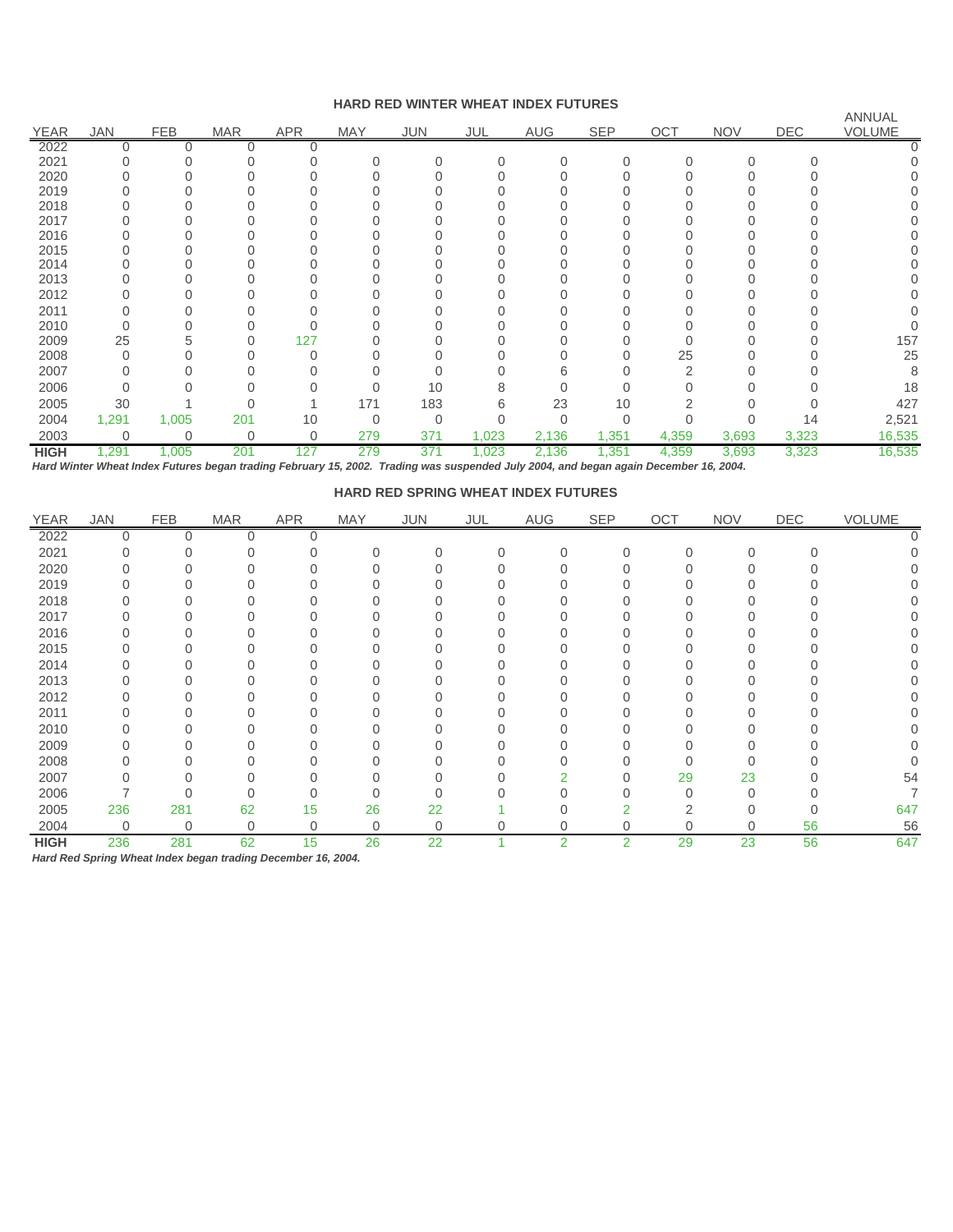## **HARD RED WINTER WHEAT INDEX FUTURES**

|             |              |             |                |            | 11112       |             |          |            | ----       |        |            |            | <b>ANNUAL</b> |
|-------------|--------------|-------------|----------------|------------|-------------|-------------|----------|------------|------------|--------|------------|------------|---------------|
| <b>YEAR</b> | <b>JAN</b>   | <b>FEB</b>  | <b>MAR</b>     | <b>APR</b> | <b>MAY</b>  | <b>JUN</b>  | JUL      | <b>AUG</b> | <b>SEP</b> | OCT    | <b>NOV</b> | <b>DEC</b> | <b>VOLUME</b> |
| 2022        | 0            | Ω           | 0              |            |             |             |          |            |            |        |            |            |               |
| 2021        |              |             |                |            |             | 0           | $\Omega$ | 0          | Λ          | $\cap$ | $\Omega$   |            |               |
| 2020        |              |             |                |            |             |             |          |            |            |        |            |            |               |
| 2019        |              |             |                |            |             |             |          |            |            |        |            |            |               |
| 2018        |              |             |                |            |             |             |          |            |            |        |            |            |               |
| 2017        |              |             |                |            |             |             |          |            |            |        |            |            |               |
| 2016        |              |             |                |            |             |             |          |            |            |        |            |            |               |
| 2015        |              |             |                |            |             |             |          |            |            |        |            |            |               |
| 2014        |              |             |                |            |             |             |          |            |            |        |            |            |               |
| 2013        |              |             |                |            |             |             |          |            |            |        |            |            |               |
| 2012        |              |             |                |            |             |             |          |            |            |        |            |            |               |
| 2011        | 0            |             |                |            |             |             |          |            |            |        |            |            |               |
| 2010        | $\Omega$     |             |                |            |             |             |          |            |            |        |            |            |               |
| 2009        | 25           | 5           | 0              | 127        |             |             |          |            |            |        |            |            | 157           |
| 2008        | $\Omega$     |             |                |            |             |             |          |            |            | 25     |            |            | 25            |
| 2007        | <sup>0</sup> |             |                |            |             |             |          | n          |            |        |            |            |               |
| 2006        | 0            |             |                |            |             | 10          |          |            |            |        |            |            | 18            |
| 2005        | 30           |             |                |            | 171         | 183         |          | 23         | 10         |        |            |            | 427           |
| 2004        | 1,291        | 1,005       | 201            | 10         | $\mathbf 0$ | $\mathbf 0$ |          | 0          |            |        |            | 14         | 2,521         |
| 2003        | $\mathbf 0$  | $\mathbf 0$ | $\overline{0}$ | 0          | 279         | 371         | 1,023    | 2,136      | 1,351      | 4,359  | 3,693      | 3,323      | 16,535        |
| <b>HIGH</b> | 1,291        | 1,005       | 201            | 127        | 279         | 371         | 1,023    | 2,136      | 1,351      | 4,359  | 3,693      | 3,323      | 16,535        |

*Hard Winter Wheat Index Futures began trading February 15, 2002. Trading was suspended July 2004, and began again December 16, 2004.*

| <b>HARD RED SPRING WHEAT INDEX FUTURES</b> |
|--------------------------------------------|
|--------------------------------------------|

| <b>YEAR</b> | <b>JAN</b>  | <b>FEB</b>  | <b>MAR</b> | APR | MAY | JUN            | JUL      | AUG            | SEP | OCT      | <b>NOV</b> | DEC | VOLUME       |
|-------------|-------------|-------------|------------|-----|-----|----------------|----------|----------------|-----|----------|------------|-----|--------------|
| 2022        |             |             |            |     |     |                |          |                |     |          |            |     |              |
| 2021        |             |             |            |     |     |                | $\Omega$ | $\Omega$       |     | $\Omega$ |            |     | <sup>n</sup> |
| 2020        |             |             |            |     |     |                |          |                |     |          |            |     |              |
| 2019        |             |             |            |     |     |                |          |                |     |          |            |     |              |
| 2018        |             |             |            |     |     |                |          |                |     |          |            |     |              |
| 2017        |             |             |            |     |     |                |          |                |     |          |            |     |              |
| 2016        |             |             |            |     |     |                |          |                |     |          |            |     |              |
| 2015        |             |             |            |     |     |                |          |                |     |          |            |     |              |
| 2014        |             |             |            |     |     |                |          |                |     |          |            |     |              |
| 2013        |             |             |            |     |     |                |          |                |     |          |            |     |              |
| 2012        |             |             |            |     |     |                |          |                |     |          |            |     |              |
| 2011        |             |             |            |     |     |                |          |                |     |          |            |     |              |
| 2010        |             |             |            |     |     |                |          |                |     |          |            |     |              |
| 2009        |             |             |            |     |     |                |          |                |     |          |            |     |              |
| 2008        |             |             |            |     |     |                |          |                |     |          |            |     |              |
| 2007        |             |             |            |     |     |                |          |                |     | 29       | 23         |     | 54           |
| 2006        |             |             |            |     |     |                |          |                |     | $\Omega$ |            |     |              |
| 2005        | 236         | 281         | 62         | 15  | 26  | 22             |          |                |     |          |            |     | 647          |
| 2004        | $\mathbf 0$ | $\mathbf 0$ | 0          | 0   | 0   | $\overline{0}$ |          | 0              | 0   | $\Omega$ | $\Omega$   | 56  | 56           |
| <b>HIGH</b> | 236         | 281         | 62         | 15  | 26  | 22             |          | $\overline{2}$ | 2   | 29       | 23         | 56  | 647          |

*Hard Red Spring Wheat Index began trading December 16, 2004.*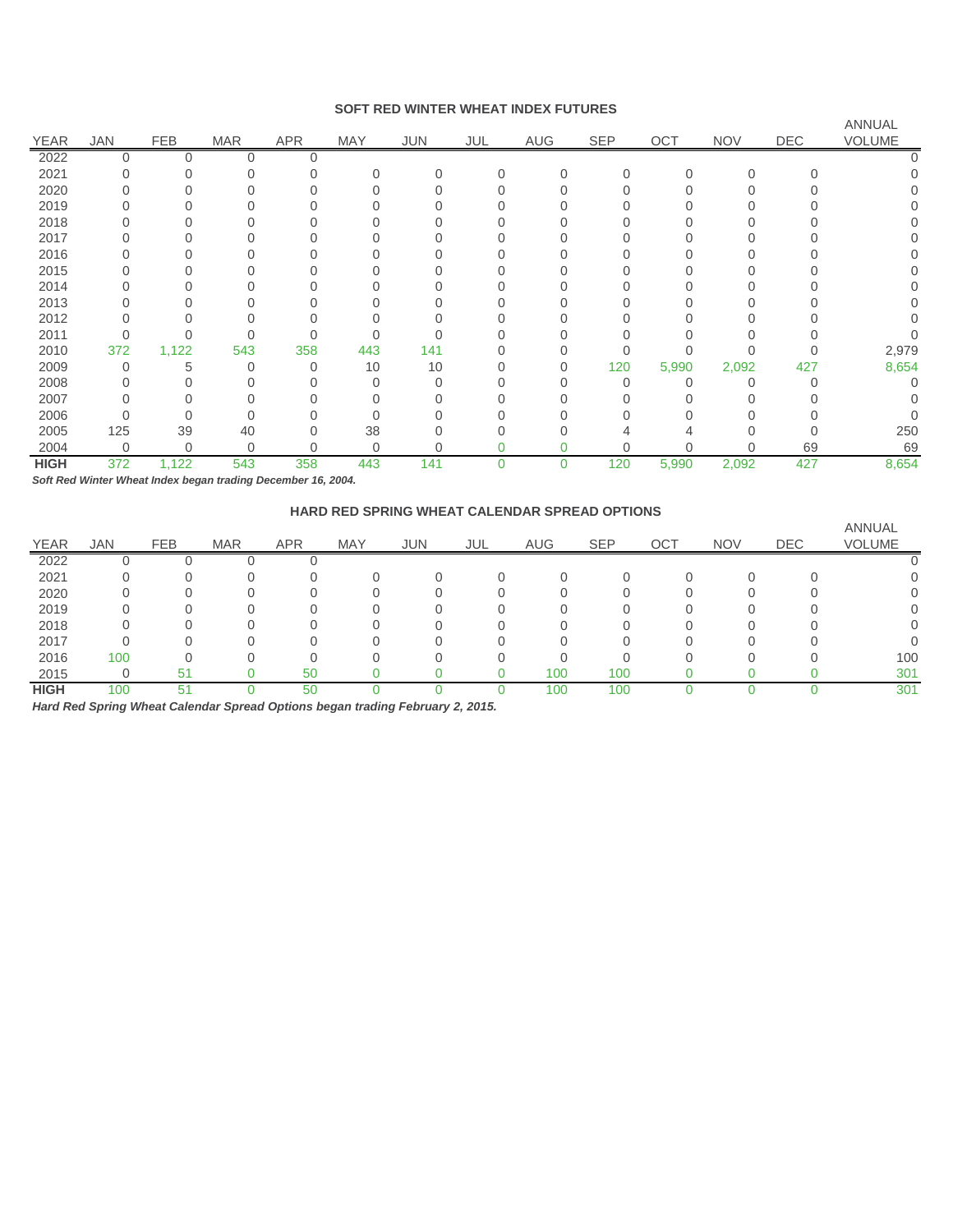#### **SOFT RED WINTER WHEAT INDEX FUTURES**

|             |            |            |            |            |            |              |          |              |     |          |            |     | ANNUAL       |
|-------------|------------|------------|------------|------------|------------|--------------|----------|--------------|-----|----------|------------|-----|--------------|
| <b>YEAR</b> | <b>JAN</b> | <b>FEB</b> | <b>MAR</b> | <b>APR</b> | <b>MAY</b> | JUN          | JUL      | AUG          | SEP | OCT      | <b>NOV</b> | DEC | VOLUME       |
| 2022        |            |            |            |            |            |              |          |              |     |          |            |     |              |
| 2021        |            |            |            |            | 0          | $\Omega$     | $\Omega$ | $\mathbf{0}$ |     | $\Omega$ | 0          |     |              |
| 2020        |            |            |            |            |            |              |          |              |     |          |            |     |              |
| 2019        |            |            |            |            |            |              |          |              |     |          |            |     | $\cup$       |
| 2018        |            |            |            |            |            |              |          |              |     |          |            |     |              |
| 2017        |            |            |            |            |            |              |          |              |     |          |            |     |              |
| 2016        |            |            |            |            |            |              |          |              |     |          |            |     | <sup>n</sup> |
| 2015        |            |            |            |            |            |              |          |              |     |          |            |     |              |
| 2014        |            |            |            |            |            |              |          |              |     |          |            |     |              |
| 2013        |            |            |            |            |            |              |          |              |     |          |            |     |              |
| 2012        |            |            |            |            |            | <sup>0</sup> |          |              |     |          |            |     |              |
| 2011        |            |            |            |            |            |              |          |              |     |          |            |     |              |
| 2010        | 372        | 1,122      | 543        | 358        | 443        | 141          |          |              |     |          |            |     | 2,979        |
| 2009        |            | 5          | 0          | $\Omega$   | 10         | 10           |          | $\Omega$     | 120 | 5,990    | 2,092      | 427 | 8,654        |
| 2008        |            |            |            |            | 0          | ∩            |          |              |     |          |            |     |              |
| 2007        |            |            |            |            | ი          |              |          |              |     |          |            |     |              |
| 2006        |            | $\Omega$   |            |            | U          | $\Omega$     |          |              |     |          |            |     |              |
| 2005        | 125        | 39         | 40         |            | 38         |              |          |              |     |          |            |     | 250          |
| 2004        | 0          | 0          | 0          |            | 0          | 0            |          |              | ი   | $\Omega$ | Ω          | 69  | 69           |
| <b>HIGH</b> | 372        | 1,122      | 543        | 358        | 443        | 141          | 0        | $\Omega$     | 120 | 5,990    | 2,092      | 427 | 8,654        |

*Soft Red Winter Wheat Index began trading December 16, 2004.*

# **HARD RED SPRING WHEAT CALENDAR SPREAD OPTIONS**

| <b>YEAR</b> | <b>JAN</b> | <b>FEB</b> | <b>MAR</b> | <b>APR</b> | <b>MAY</b> | <b>JUN</b> | <b>JUL</b> | <b>AUG</b> | <b>SEP</b> | <b>OCT</b> | <b>NOV</b> | <b>DEC</b> | <b>ANNUAL</b><br><b>VOLUME</b> |
|-------------|------------|------------|------------|------------|------------|------------|------------|------------|------------|------------|------------|------------|--------------------------------|
| 2022        |            |            |            |            |            |            |            |            |            |            |            |            |                                |
| 2021        |            |            |            |            |            |            |            |            |            |            |            |            |                                |
| 2020        |            |            |            |            |            |            |            |            |            |            |            |            |                                |
| 2019        |            |            |            |            |            |            |            |            |            |            |            |            |                                |
| 2018        |            |            |            |            |            |            |            |            |            |            |            |            |                                |
| 2017        |            |            |            |            |            |            |            |            |            |            |            |            |                                |
| 2016        | 100        |            |            |            |            |            |            |            |            |            |            |            | 100                            |
| 2015        |            | 51         |            | 50         |            |            |            | 100        | 100        |            |            |            | 301                            |
| <b>HIGH</b> | 100        | 51         |            | 50         |            |            |            | 100        | 100        |            |            |            | 301                            |

*Hard Red Spring Wheat Calendar Spread Options began trading February 2, 2015.*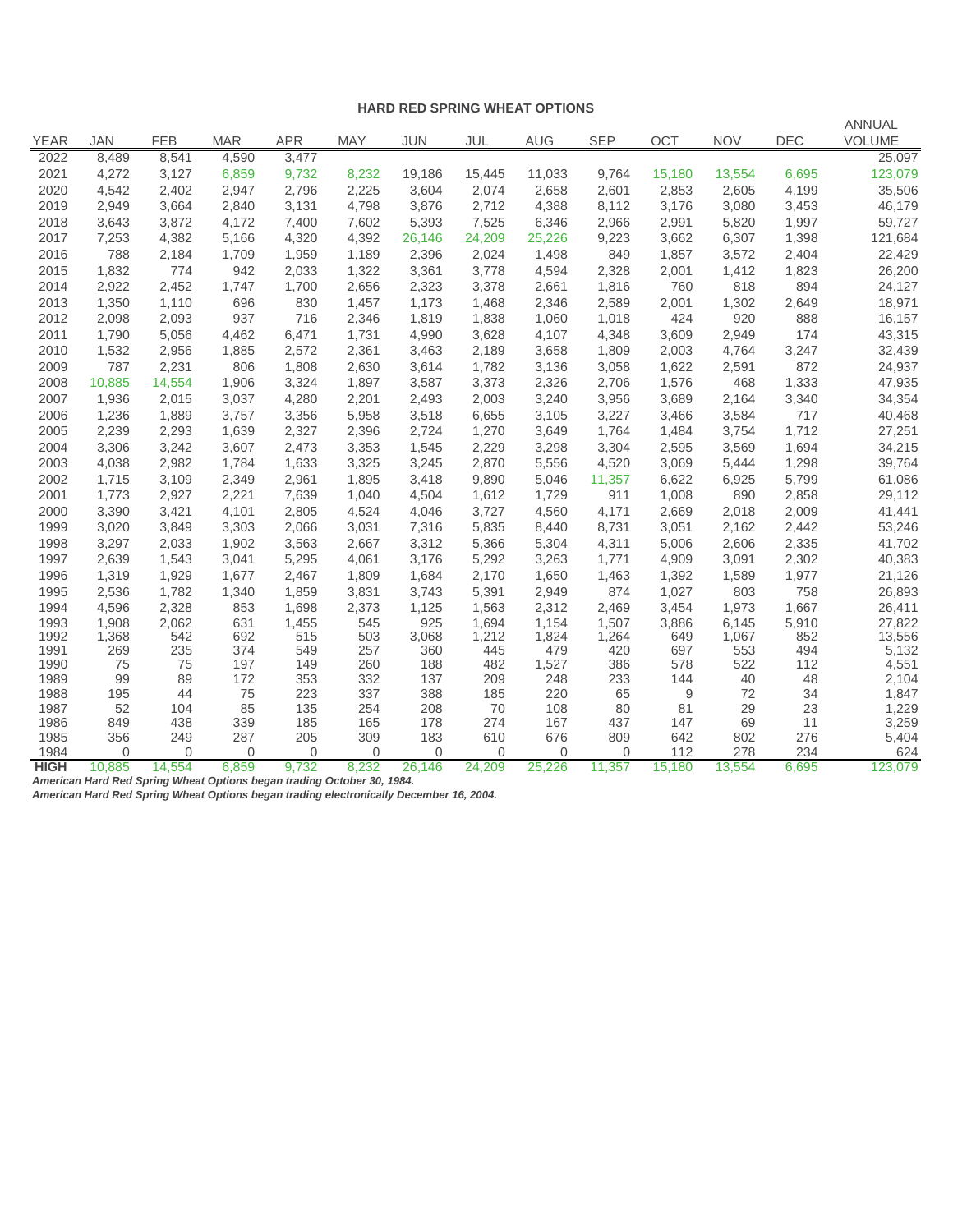#### **HARD RED SPRING WHEAT OPTIONS**

| <b>YEAR</b>  | <b>JAN</b> | <b>FEB</b> | <b>MAR</b> | <b>APR</b> | <b>MAY</b> | JUN        | JUL        | AUG          | <b>SEP</b> | <b>OCT</b> | <b>NOV</b> | <b>DEC</b> | <b>ANNUAL</b><br><b>VOLUME</b> |
|--------------|------------|------------|------------|------------|------------|------------|------------|--------------|------------|------------|------------|------------|--------------------------------|
| 2022         | 8,489      | 8,541      | 4,590      | 3,477      |            |            |            |              |            |            |            |            | 25,097                         |
| 2021         | 4,272      | 3,127      | 6,859      | 9,732      | 8,232      | 19,186     | 15,445     | 11,033       | 9,764      | 15,180     | 13,554     | 6,695      | 123,079                        |
| 2020         | 4,542      | 2,402      | 2,947      | 2,796      | 2,225      | 3,604      | 2,074      | 2,658        | 2,601      | 2,853      | 2,605      | 4,199      | 35,506                         |
| 2019         | 2,949      | 3,664      | 2,840      | 3,131      | 4,798      | 3,876      | 2,712      | 4,388        | 8,112      | 3,176      | 3,080      | 3,453      | 46,179                         |
| 2018         | 3,643      | 3,872      | 4,172      | 7,400      | 7,602      | 5,393      | 7,525      | 6,346        | 2,966      | 2,991      | 5,820      | 1,997      | 59,727                         |
| 2017         | 7,253      | 4,382      | 5,166      | 4,320      | 4,392      | 26,146     | 24,209     | 25,226       | 9,223      | 3,662      | 6,307      | 1,398      | 121,684                        |
| 2016         | 788        | 2,184      | 1,709      | 1,959      | 1,189      | 2,396      | 2,024      | 1,498        | 849        | 1,857      | 3,572      | 2,404      | 22,429                         |
| 2015         | 1,832      | 774        | 942        | 2,033      | 1,322      | 3,361      | 3,778      | 4,594        | 2,328      | 2,001      | 1,412      | 1,823      | 26,200                         |
| 2014         | 2,922      | 2,452      | 1,747      | 1,700      | 2,656      | 2,323      | 3,378      | 2,661        | 1,816      | 760        | 818        | 894        | 24,127                         |
| 2013         | 1,350      | 1,110      | 696        | 830        | 1,457      | 1,173      | 1,468      | 2,346        | 2,589      | 2,001      | 1,302      | 2,649      | 18,971                         |
| 2012         | 2,098      | 2,093      | 937        | 716        | 2,346      | 1,819      | 1,838      | 1,060        | 1,018      | 424        | 920        | 888        | 16,157                         |
| 2011         | 1,790      | 5,056      | 4,462      | 6,471      | 1,731      | 4,990      | 3,628      | 4,107        | 4,348      | 3,609      | 2,949      | 174        | 43,315                         |
| 2010         | 1,532      | 2,956      | 1,885      | 2,572      | 2,361      | 3,463      | 2,189      | 3,658        | 1,809      | 2,003      | 4,764      | 3,247      | 32,439                         |
| 2009         | 787        | 2,231      | 806        | 1,808      | 2,630      | 3,614      | 1,782      | 3,136        | 3,058      | 1,622      | 2,591      | 872        | 24,937                         |
| 2008         | 10,885     | 14,554     | 1,906      | 3,324      | 1,897      | 3,587      | 3,373      | 2,326        | 2,706      | 1,576      | 468        | 1,333      | 47,935                         |
| 2007         | 1,936      | 2,015      | 3,037      | 4,280      | 2,201      | 2,493      | 2,003      | 3,240        | 3,956      | 3,689      | 2,164      | 3,340      | 34,354                         |
| 2006         | 1,236      | 1,889      | 3,757      | 3,356      | 5,958      | 3,518      | 6,655      | 3,105        | 3,227      | 3,466      | 3,584      | 717        | 40,468                         |
| 2005         | 2,239      | 2,293      | 1,639      | 2,327      | 2,396      | 2,724      | 1,270      | 3,649        | 1,764      | 1,484      | 3,754      | 1,712      | 27,251                         |
| 2004         | 3,306      | 3,242      | 3,607      | 2,473      | 3,353      | 1,545      | 2,229      | 3,298        | 3,304      | 2,595      | 3,569      | 1,694      | 34,215                         |
| 2003         | 4,038      | 2,982      | 1,784      | 1,633      | 3,325      | 3,245      | 2,870      | 5,556        | 4,520      | 3,069      | 5,444      | 1,298      | 39,764                         |
| 2002         | 1,715      | 3,109      | 2,349      | 2,961      | 1,895      | 3,418      | 9,890      | 5,046        | 11,357     | 6,622      | 6,925      | 5,799      | 61,086                         |
| 2001         | 1,773      | 2,927      | 2,221      | 7,639      | 1,040      | 4,504      | 1,612      | 1,729        | 911        | 1,008      | 890        | 2,858      | 29,112                         |
| 2000         | 3,390      | 3,421      | 4,101      | 2,805      | 4,524      | 4,046      | 3,727      | 4,560        | 4,171      | 2,669      | 2,018      | 2,009      | 41,441                         |
| 1999         | 3,020      | 3,849      | 3,303      | 2,066      | 3,031      | 7,316      | 5,835      | 8,440        | 8,731      | 3,051      | 2,162      | 2,442      | 53,246                         |
| 1998         | 3,297      | 2,033      | 1,902      | 3,563      | 2,667      | 3,312      | 5,366      | 5,304        | 4,311      | 5,006      | 2,606      | 2,335      | 41,702                         |
| 1997         | 2,639      | 1,543      | 3,041      | 5,295      | 4,061      | 3,176      | 5,292      | 3,263        | 1,771      | 4,909      | 3,091      | 2,302      | 40,383                         |
| 1996         | 1,319      | 1,929      | 1,677      | 2,467      | 1,809      | 1,684      | 2,170      | 1,650        | 1,463      | 1,392      | 1,589      | 1,977      | 21,126                         |
| 1995         | 2,536      | 1,782      | 1,340      | 1,859      | 3,831      | 3,743      | 5,391      | 2,949        | 874        | 1,027      | 803        | 758        | 26,893                         |
| 1994         | 4,596      | 2,328      | 853        | 1,698      | 2,373      | 1,125      | 1,563      | 2,312        | 2,469      | 3,454      | 1,973      | 1,667      | 26,411                         |
| 1993         | 1,908      | 2,062      | 631        | 1,455      | 545        | 925        | 1,694      | 1,154        | 1,507      | 3,886      | 6,145      | 5,910      | 27,822                         |
| 1992         | 1,368      | 542        | 692        | 515        | 503        | 3,068      | 1,212      | 1,824        | 1,264      | 649        | 1,067      | 852        | 13,556                         |
| 1991         | 269        | 235        | 374        | 549        | 257        | 360        | 445        | 479          | 420        | 697        | 553        | 494        | 5,132                          |
| 1990<br>1989 | 75<br>99   | 75<br>89   | 197<br>172 | 149<br>353 | 260<br>332 | 188<br>137 | 482<br>209 | 1,527<br>248 | 386<br>233 | 578<br>144 | 522<br>40  | 112        | 4,551<br>2,104                 |
| 1988         | 195        | 44         | 75         | 223        | 337        | 388        | 185        | 220          | 65         | 9          | 72         | 48<br>34   | 1,847                          |
| 1987         | 52         | 104        | 85         | 135        | 254        | 208        | 70         | 108          | 80         | 81         | 29         | 23         | 1,229                          |
| 1986         | 849        | 438        | 339        | 185        | 165        | 178        | 274        | 167          | 437        | 147        | 69         | 11         | 3,259                          |
| 1985         | 356        | 249        | 287        | 205        | 309        | 183        | 610        | 676          | 809        | 642        | 802        | 276        | 5,404                          |
| 1984         | $\Omega$   | $\Omega$   | $\Omega$   | $\Omega$   | $\Omega$   | $\Omega$   | $\Omega$   | $\Omega$     | $\Omega$   | 112        | 278        | 234        | 624                            |
| <b>HIGH</b>  | 10,885     | 14,554     | 6,859      | 9,732      | 8,232      | 26,146     | 24,209     | 25,226       | 11,357     | 15,180     | 13,554     | 6,695      | 123,079                        |

*American Hard Red Spring Wheat Options began trading October 30, 1984.*

*American Hard Red Spring Wheat Options began trading electronically December 16, 2004.*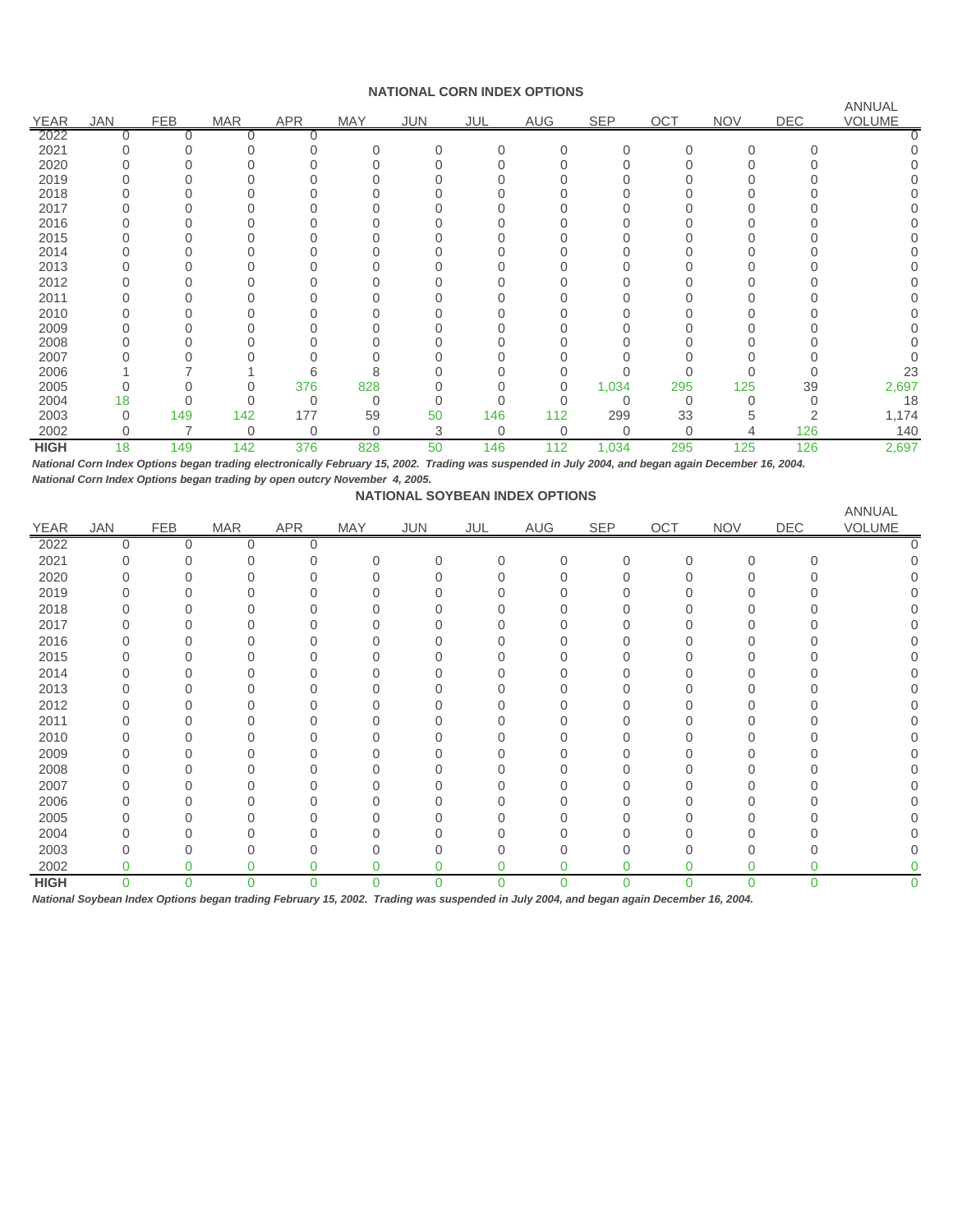#### **NATIONAL CORN INDEX OPTIONS**

|             |          |            |            |             |            |            |             |            |             |          |            |            | ANNUAL |
|-------------|----------|------------|------------|-------------|------------|------------|-------------|------------|-------------|----------|------------|------------|--------|
| <b>YEAR</b> | JAN      | <b>FEB</b> | <b>MAR</b> | <b>APR</b>  | <b>MAY</b> | <b>JUN</b> | JUL         | <b>AUG</b> | <b>SEP</b>  | OCT      | <b>NOV</b> | <b>DEC</b> | VOLUME |
| 2022        |          |            |            |             |            |            |             |            |             |          |            |            |        |
| 2021        |          |            |            |             |            |            | $\Omega$    | $\Omega$   |             | $\Omega$ | $\Omega$   |            |        |
| 2020        |          |            |            |             |            |            |             |            |             |          |            |            |        |
| 2019        |          |            |            |             |            |            |             |            |             |          |            |            |        |
| 2018        |          |            |            |             |            |            |             |            |             |          |            |            |        |
| 2017        |          |            |            |             |            |            |             |            |             |          |            |            |        |
| 2016        |          |            |            |             |            |            |             |            |             |          |            |            |        |
| 2015        |          |            |            |             |            |            |             |            |             |          |            |            |        |
| 2014        |          |            |            |             |            |            |             |            |             |          |            |            |        |
| 2013        |          |            |            |             |            |            |             |            |             |          |            |            |        |
| 2012        |          |            |            |             |            |            |             |            |             |          |            |            |        |
| 2011        |          |            |            |             |            |            |             |            |             |          |            |            |        |
| 2010        |          |            |            |             |            |            |             |            |             |          |            |            |        |
| 2009        |          |            |            |             |            |            |             |            |             |          |            |            |        |
| 2008        |          |            |            |             |            |            |             |            |             |          |            |            |        |
| 2007        |          |            |            |             |            |            |             |            |             |          |            |            |        |
| 2006        |          |            |            | 6           | 8          |            |             |            |             |          |            |            | 23     |
| 2005        |          |            |            | 376         | 828        |            |             | $\Omega$   | 1,034       | 295      | 125        | 39         | 2,697  |
| 2004        | 18       |            |            | $\Omega$    | 0          |            |             |            | 0           | $\Omega$ |            |            | 18     |
| 2003        | $\Omega$ | 149        | 142        | 177         | 59         | 50         | 146         | 112        | 299         | 33       | 5          |            | 1,174  |
| 2002        | 0        |            | 0          | $\mathbf 0$ | 0          | 3          | $\mathbf 0$ | $\Omega$   | $\mathbf 0$ | $\Omega$ | 4          | 126        | 140    |
| <b>HIGH</b> | 18       | 149        | 142        | 376         | 828        | 50         | 146         | 112        | 1,034       | 295      | 125        | 126        | 2,697  |

*National Corn Index Options began trading electronically February 15, 2002. Trading was suspended in July 2004, and began again December 16, 2004. National Corn Index Options began trading by open outcry November 4, 2005.*

| <b>NATIONAL SOYBEAN INDEX OPTIONS</b> |  |
|---------------------------------------|--|
|                                       |  |

|             |            |            |            |             |     |          |          |                |            |             |            |             | ANNUAL |
|-------------|------------|------------|------------|-------------|-----|----------|----------|----------------|------------|-------------|------------|-------------|--------|
| <b>YEAR</b> | <b>JAN</b> | <b>FEB</b> | <b>MAR</b> | <b>APR</b>  | MAY | JUN      | JUL      | AUG            | <b>SEP</b> | OCT         | <b>NOV</b> | DEC         | VOLUME |
| 2022        | 0          | $\Omega$   | 0          | $\mathbf 0$ |     |          |          |                |            |             |            |             |        |
| 2021        | ∩          |            |            |             | 0   | $\Omega$ | $\Omega$ | $\overline{0}$ | $\Omega$   | $\mathbf 0$ | $\Omega$   | $\Omega$    |        |
| 2020        |            |            |            |             |     |          |          |                | N          | $\Omega$    | 0          |             |        |
| 2019        |            |            |            |             |     |          |          |                |            | ∩           |            |             |        |
| 2018        |            |            |            |             |     |          |          |                |            | 0           | ი          |             |        |
| 2017        |            |            |            |             |     |          |          |                |            |             | Ω          |             |        |
| 2016        |            |            |            |             |     |          |          |                |            | 0           |            |             |        |
| 2015        |            |            |            |             |     |          |          |                |            |             | U          |             |        |
| 2014        |            |            |            |             |     |          |          |                |            | 0           | ი          |             |        |
| 2013        |            |            |            |             |     |          |          |                |            |             | U          |             |        |
| 2012        |            |            |            |             |     |          |          |                |            | 0           | U          |             |        |
| 2011        |            |            |            |             |     |          |          |                |            | ∩           |            |             |        |
| 2010        |            |            |            |             |     |          |          |                |            | ∩           |            |             |        |
| 2009        |            |            |            |             |     |          |          |                |            | 0           | ი          |             |        |
| 2008        |            |            |            |             |     |          |          |                |            |             | 0          |             |        |
| 2007        |            |            |            |             |     |          |          |                |            | 0           | Ω          |             |        |
| 2006        |            |            |            |             |     |          |          |                |            |             |            |             |        |
| 2005        |            |            |            |             |     |          |          |                |            | $\Omega$    | ი          |             |        |
| 2004        |            |            |            |             |     |          |          |                |            |             |            |             |        |
| 2003        |            |            |            |             |     |          | ∩        | Ω              | N          | $\Omega$    | 0          |             |        |
| 2002        | 0          | 0          | 0          |             |     | 0        |          | 0              | 0          | 0           | 0          | 0           |        |
| <b>HIGH</b> | 0          | $\Omega$   | $\Omega$   | 0           |     | $\Omega$ | 0        | $\Omega$       | 0          | 0           | $\Omega$   | $\mathbf 0$ | 0      |

*National Soybean Index Options began trading February 15, 2002. Trading was suspended in July 2004, and began again December 16, 2004.*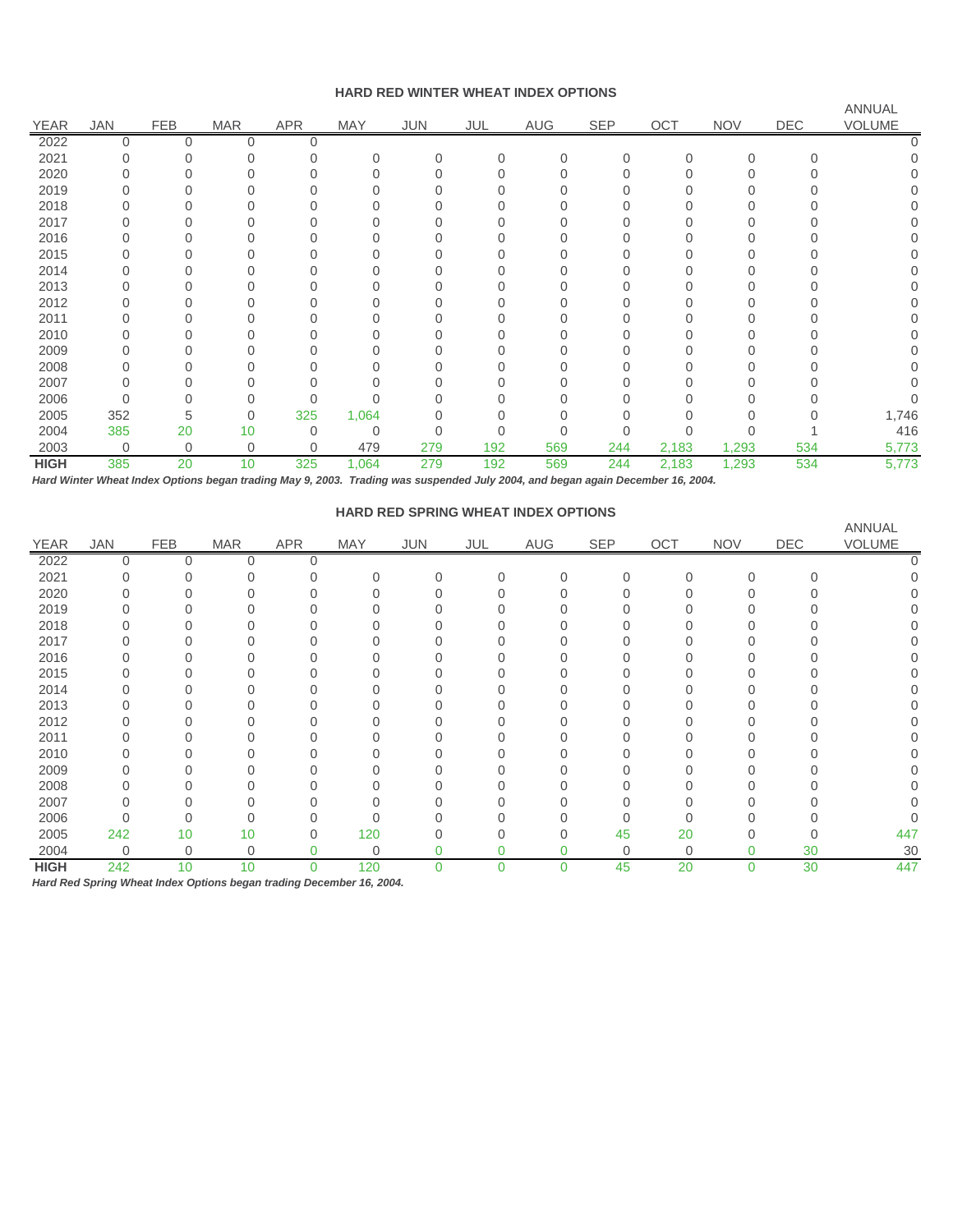#### **HARD RED WINTER WHEAT INDEX OPTIONS**

|             |            |             |            |              |            |            |          |          |            |       |            |            | <b>ANNUAL</b> |
|-------------|------------|-------------|------------|--------------|------------|------------|----------|----------|------------|-------|------------|------------|---------------|
| <b>YEAR</b> | <b>JAN</b> | <b>FEB</b>  | <b>MAR</b> | <b>APR</b>   | <b>MAY</b> | <b>JUN</b> | JUL      | AUG      | <b>SEP</b> | OCT   | <b>NOV</b> | <b>DEC</b> | <b>VOLUME</b> |
| 2022        | 0          | 0           | 0          | 0            |            |            |          |          |            |       |            |            |               |
| 2021        |            |             |            |              | 0          | 0          | $\Omega$ | $\Omega$ | ∩          | 0     |            |            |               |
| 2020        |            |             |            |              | U          | $\Omega$   |          |          |            |       |            |            |               |
| 2019        |            |             |            |              |            |            |          |          |            |       |            |            |               |
| 2018        |            |             |            |              |            |            |          |          |            |       |            |            |               |
| 2017        |            |             |            |              |            |            |          |          |            |       |            |            |               |
| 2016        |            |             |            |              |            |            |          |          |            |       |            |            |               |
| 2015        |            |             |            |              |            |            |          |          |            |       |            |            |               |
| 2014        |            |             |            |              |            | O          |          |          |            |       |            |            |               |
| 2013        |            |             |            |              |            |            |          |          |            |       |            |            |               |
| 2012        |            |             |            |              |            |            |          |          |            |       |            |            |               |
| 2011        |            |             |            |              |            |            |          |          |            |       |            |            |               |
| 2010        |            |             |            |              |            |            |          |          |            |       |            |            |               |
| 2009        |            |             |            |              |            |            |          |          |            |       |            |            |               |
| 2008        |            |             |            |              |            |            |          |          |            |       |            |            |               |
| 2007        |            |             |            |              |            |            |          |          |            |       |            |            |               |
| 2006        |            |             |            |              |            |            |          |          |            |       |            |            |               |
| 2005        | 352        | 5           | 0          | 325          | 1,064      | 0          |          |          |            |       |            |            | 1,746         |
| 2004        | 385        | 20          | 10         | $\Omega$     | 0          | $\Omega$   |          | Ω        |            |       |            |            | 416           |
| 2003        | 0          | $\mathbf 0$ | 0          | $\mathbf{0}$ | 479        | 279        | 192      | 569      | 244        | 2,183 | 1,293      | 534        | 5,773         |
| <b>HIGH</b> | 385        | 20          | 10         | 325          | 1,064      | 279        | 192      | 569      | 244        | 2,183 | 1,293      | 534        | 5,773         |

*Hard Winter Wheat Index Options began trading May 9, 2003. Trading was suspended July 2004, and began again December 16, 2004.*

### **HARD RED SPRING WHEAT INDEX OPTIONS**

|             |             |             |            |            |             |          |          |          |     |             |            |     | ANNUAL        |
|-------------|-------------|-------------|------------|------------|-------------|----------|----------|----------|-----|-------------|------------|-----|---------------|
| <b>YEAR</b> | <b>JAN</b>  | <b>FEB</b>  | <b>MAR</b> | <b>APR</b> | <b>MAY</b>  | JUN      | JUL      | AUG      | SEP | OCT         | <b>NOV</b> | DEC | <b>VOLUME</b> |
| 2022        | 0           | $\Omega$    | 0          | $\Omega$   |             |          |          |          |     |             |            |     |               |
| 2021        |             | 0           | 0          |            | 0           | $\Omega$ | $\Omega$ | $\Omega$ |     | $\Omega$    | Ω          |     |               |
| 2020        |             |             |            |            |             |          |          |          |     |             |            |     |               |
| 2019        |             | $\Omega$    |            |            | 0           |          |          |          |     |             |            |     |               |
| 2018        |             | $\Omega$    |            |            |             |          |          |          |     |             |            |     |               |
| 2017        |             |             |            |            |             |          |          |          |     |             |            |     |               |
| 2016        |             | $\Omega$    |            |            |             |          |          |          |     |             |            |     |               |
| 2015        |             | 0           |            |            |             |          |          |          |     |             |            |     |               |
| 2014        |             |             |            |            |             |          |          |          |     |             |            |     |               |
| 2013        |             | O           |            |            |             |          |          |          |     |             |            |     | <sup>n</sup>  |
| 2012        |             | 0           |            |            |             |          |          |          |     |             |            |     |               |
| 2011        |             |             |            |            |             |          |          |          |     |             |            |     |               |
| 2010        |             |             |            |            |             |          |          |          |     |             |            |     | <sup>n</sup>  |
| 2009        |             | $\Omega$    |            |            | 0           |          |          |          |     |             |            |     |               |
| 2008        |             | 0           | 0          |            |             |          |          |          |     |             |            |     |               |
| 2007        |             |             |            |            |             |          |          |          |     |             |            |     |               |
| 2006        |             | $\Omega$    | 0          |            | 0           |          |          |          |     |             |            |     |               |
| 2005        | 242         | 10          | 10         | $\Omega$   | 120         | U        |          |          | 45  | 20          |            |     | 447           |
| 2004        | $\mathbf 0$ | $\mathbf 0$ | 0          | 0          | $\mathbf 0$ | 0        |          |          | 0   | $\mathbf 0$ | 0          | 30  | 30            |
| <b>HIGH</b> | 242         | 10          | 10         | $\Omega$   | 120         | 0        | 0        | $\Omega$ | 45  | 20          | $\Omega$   | 30  | 447           |

*Hard Red Spring Wheat Index Options began trading December 16, 2004.*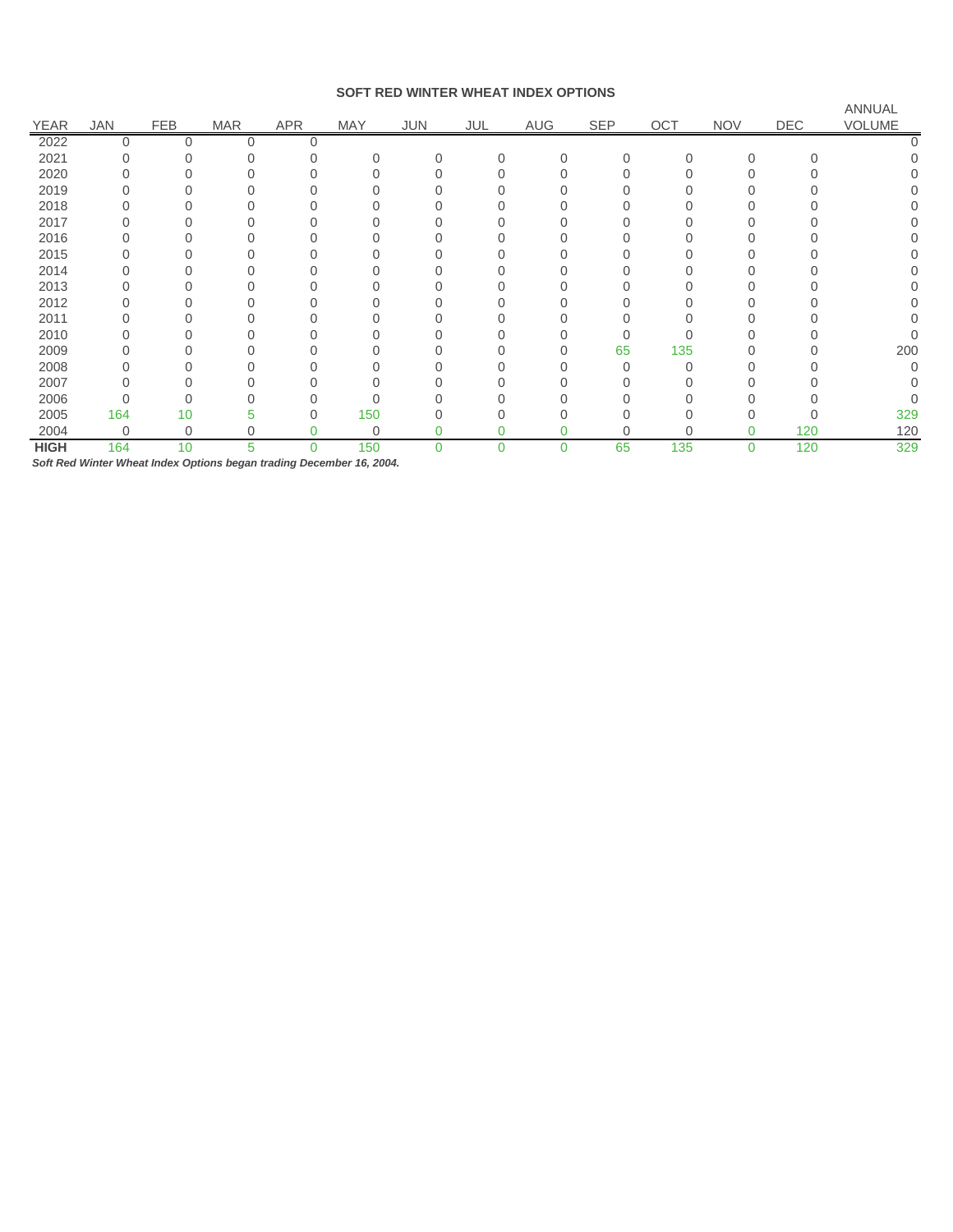#### **SOFT RED WINTER WHEAT INDEX OPTIONS**

|             |            |             |            |            |             |          |     |          |     |          |            |          | ANNUAL |
|-------------|------------|-------------|------------|------------|-------------|----------|-----|----------|-----|----------|------------|----------|--------|
| <b>YEAR</b> | <b>JAN</b> | <b>FEB</b>  | <b>MAR</b> | <b>APR</b> | <b>MAY</b>  | JUN      | JUL | AUG      | SEP | OCT      | <b>NOV</b> | DEC      | VOLUME |
| 2022        | 0          | $\Omega$    | $\Omega$   |            |             |          |     |          |     |          |            |          |        |
| 2021        |            |             |            |            | O           |          | 0   | $\Omega$ |     | $\Omega$ | $\Omega$   | $\Omega$ |        |
| 2020        |            |             |            |            |             |          |     |          |     |          |            |          |        |
| 2019        |            |             |            |            |             |          |     |          |     |          |            |          |        |
| 2018        |            |             |            |            |             |          |     |          |     |          |            |          |        |
| 2017        |            |             |            |            |             |          |     |          |     |          |            |          |        |
| 2016        |            |             |            |            |             |          |     |          |     |          |            |          | Ω      |
| 2015        |            |             |            |            |             |          |     |          |     |          |            |          |        |
| 2014        |            |             |            |            |             |          |     |          |     |          |            |          |        |
| 2013        |            |             |            |            |             |          |     |          |     |          |            |          |        |
| 2012        |            |             |            |            |             |          |     |          |     |          |            |          |        |
| 2011        |            |             |            |            |             |          |     |          |     |          |            |          |        |
| 2010        |            |             |            |            |             |          |     |          |     |          |            |          |        |
| 2009        |            |             |            |            |             |          |     |          | 65  | 135      |            |          | 200    |
| 2008        |            |             |            |            |             |          |     |          |     | $\Omega$ |            |          |        |
| 2007        |            |             |            |            |             |          |     |          |     |          |            |          |        |
| 2006        |            |             |            |            | N           |          |     |          |     |          |            |          |        |
| 2005        | 164        | 10          | 5          |            | 150         |          |     |          |     |          | Ⴖ          |          | 329    |
| 2004        | 0          | $\mathbf 0$ | 0          |            | $\mathbf 0$ |          |     |          |     | $\Omega$ | 0          | 120      | 120    |
| <b>HIGH</b> | 164        | 10          | 5          | $\Omega$   | 150         | $\Omega$ | 0   | $\Omega$ | 65  | 135      | 0          | 120      | 329    |

*Soft Red Winter Wheat Index Options began trading December 16, 2004.*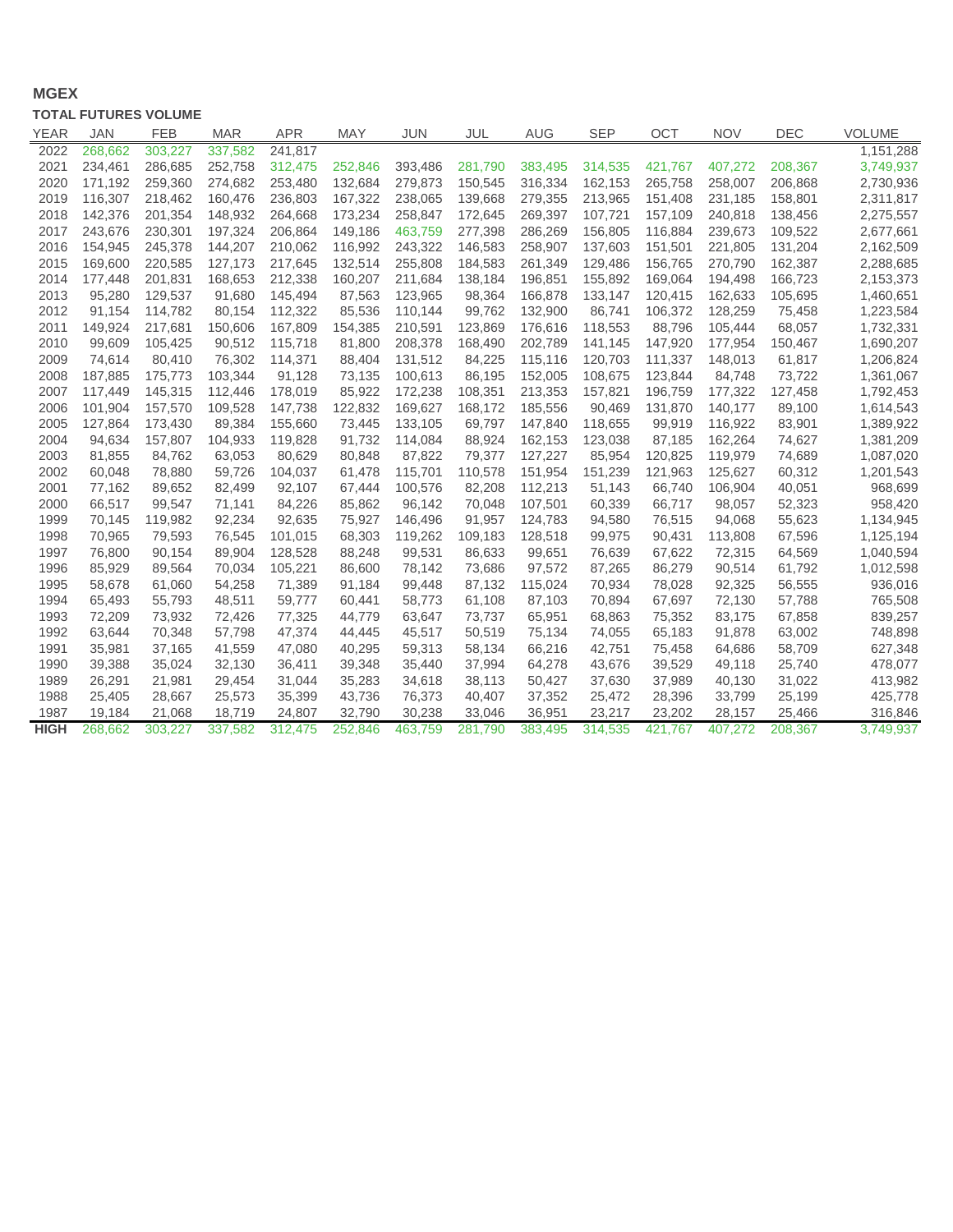## **MGEX**

### **TOTAL FUTURES VOLUME**

| <b>YEAR</b> | <b>JAN</b> | <b>FEB</b> | <b>MAR</b> | <b>APR</b> | <b>MAY</b> | <b>JUN</b> | JUL     | <b>AUG</b> | <b>SEP</b> | <b>OCT</b> | <b>NOV</b> | DEC     | <b>VOLUME</b> |
|-------------|------------|------------|------------|------------|------------|------------|---------|------------|------------|------------|------------|---------|---------------|
| 2022        | 268,662    | 303,227    | 337,582    | 241,817    |            |            |         |            |            |            |            |         | 1,151,288     |
| 2021        | 234,461    | 286.685    | 252,758    | 312,475    | 252.846    | 393,486    | 281.790 | 383.495    | 314.535    | 421,767    | 407,272    | 208,367 | 3,749,937     |
| 2020        | 171,192    | 259,360    | 274,682    | 253,480    | 132,684    | 279,873    | 150,545 | 316,334    | 162,153    | 265,758    | 258,007    | 206,868 | 2,730,936     |
| 2019        | 116,307    | 218,462    | 160,476    | 236,803    | 167,322    | 238,065    | 139,668 | 279,355    | 213,965    | 151,408    | 231,185    | 158,801 | 2,311,817     |
| 2018        | 142,376    | 201,354    | 148,932    | 264,668    | 173,234    | 258,847    | 172,645 | 269,397    | 107,721    | 157,109    | 240,818    | 138,456 | 2,275,557     |
| 2017        | 243,676    | 230,301    | 197,324    | 206,864    | 149,186    | 463,759    | 277,398 | 286,269    | 156,805    | 116,884    | 239,673    | 109,522 | 2,677,661     |
| 2016        | 154,945    | 245,378    | 144,207    | 210,062    | 116,992    | 243,322    | 146,583 | 258,907    | 137,603    | 151,501    | 221,805    | 131,204 | 2,162,509     |
| 2015        | 169,600    | 220,585    | 127,173    | 217,645    | 132,514    | 255,808    | 184,583 | 261,349    | 129,486    | 156,765    | 270,790    | 162,387 | 2,288,685     |
| 2014        | 177,448    | 201,831    | 168,653    | 212,338    | 160,207    | 211,684    | 138,184 | 196,851    | 155,892    | 169,064    | 194,498    | 166,723 | 2,153,373     |
| 2013        | 95,280     | 129,537    | 91,680     | 145,494    | 87,563     | 123,965    | 98,364  | 166,878    | 133,147    | 120,415    | 162,633    | 105,695 | 1,460,651     |
| 2012        | 91,154     | 114,782    | 80,154     | 112,322    | 85,536     | 110,144    | 99,762  | 132,900    | 86,741     | 106,372    | 128,259    | 75,458  | 1,223,584     |
| 2011        | 149,924    | 217,681    | 150,606    | 167,809    | 154,385    | 210,591    | 123,869 | 176,616    | 118,553    | 88,796     | 105,444    | 68,057  | 1,732,331     |
| 2010        | 99,609     | 105,425    | 90,512     | 115,718    | 81,800     | 208,378    | 168,490 | 202,789    | 141,145    | 147,920    | 177,954    | 150,467 | 1,690,207     |
| 2009        | 74,614     | 80,410     | 76,302     | 114,371    | 88,404     | 131,512    | 84,225  | 115,116    | 120,703    | 111,337    | 148,013    | 61,817  | 1,206,824     |
| 2008        | 187,885    | 175,773    | 103,344    | 91,128     | 73,135     | 100,613    | 86,195  | 152,005    | 108,675    | 123,844    | 84,748     | 73,722  | 1,361,067     |
| 2007        | 117,449    | 145,315    | 112,446    | 178,019    | 85,922     | 172,238    | 108,351 | 213,353    | 157,821    | 196,759    | 177,322    | 127,458 | 1,792,453     |
| 2006        | 101,904    | 157,570    | 109,528    | 147,738    | 122,832    | 169,627    | 168,172 | 185,556    | 90,469     | 131,870    | 140,177    | 89,100  | 1,614,543     |
| 2005        | 127,864    | 173,430    | 89,384     | 155,660    | 73,445     | 133,105    | 69,797  | 147,840    | 118,655    | 99,919     | 116,922    | 83,901  | 1,389,922     |
| 2004        | 94,634     | 157,807    | 104,933    | 119,828    | 91,732     | 114,084    | 88,924  | 162,153    | 123,038    | 87,185     | 162,264    | 74,627  | 1,381,209     |
| 2003        | 81,855     | 84,762     | 63,053     | 80,629     | 80,848     | 87,822     | 79,377  | 127,227    | 85,954     | 120,825    | 119,979    | 74,689  | 1,087,020     |
| 2002        | 60,048     | 78,880     | 59,726     | 104,037    | 61,478     | 115,701    | 110,578 | 151,954    | 151,239    | 121,963    | 125,627    | 60,312  | 1,201,543     |
| 2001        | 77,162     | 89,652     | 82,499     | 92,107     | 67,444     | 100,576    | 82,208  | 112,213    | 51,143     | 66,740     | 106,904    | 40,051  | 968,699       |
| 2000        | 66,517     | 99,547     | 71,141     | 84,226     | 85,862     | 96,142     | 70,048  | 107,501    | 60,339     | 66,717     | 98,057     | 52,323  | 958,420       |
| 1999        | 70,145     | 119,982    | 92,234     | 92,635     | 75,927     | 146,496    | 91,957  | 124,783    | 94,580     | 76,515     | 94,068     | 55,623  | 1,134,945     |
| 1998        | 70,965     | 79,593     | 76,545     | 101,015    | 68,303     | 119,262    | 109,183 | 128,518    | 99,975     | 90,431     | 113,808    | 67,596  | 1,125,194     |
| 1997        | 76,800     | 90,154     | 89,904     | 128,528    | 88,248     | 99,531     | 86,633  | 99,651     | 76,639     | 67,622     | 72,315     | 64,569  | 1,040,594     |
| 1996        | 85,929     | 89,564     | 70,034     | 105,221    | 86,600     | 78,142     | 73,686  | 97,572     | 87,265     | 86,279     | 90,514     | 61,792  | 1,012,598     |
| 1995        | 58,678     | 61,060     | 54,258     | 71,389     | 91,184     | 99,448     | 87,132  | 115,024    | 70,934     | 78,028     | 92,325     | 56,555  | 936,016       |
| 1994        | 65,493     | 55,793     | 48,511     | 59,777     | 60,441     | 58,773     | 61,108  | 87,103     | 70,894     | 67,697     | 72,130     | 57,788  | 765,508       |
| 1993        | 72,209     | 73,932     | 72,426     | 77,325     | 44,779     | 63,647     | 73,737  | 65,951     | 68,863     | 75,352     | 83,175     | 67,858  | 839,257       |
| 1992        | 63,644     | 70,348     | 57,798     | 47,374     | 44,445     | 45,517     | 50,519  | 75,134     | 74,055     | 65,183     | 91,878     | 63,002  | 748,898       |
| 1991        | 35,981     | 37,165     | 41,559     | 47,080     | 40,295     | 59,313     | 58,134  | 66,216     | 42,751     | 75,458     | 64,686     | 58,709  | 627,348       |
| 1990        | 39,388     | 35,024     | 32,130     | 36,411     | 39,348     | 35,440     | 37,994  | 64,278     | 43,676     | 39,529     | 49,118     | 25,740  | 478,077       |
| 1989        | 26,291     | 21,981     | 29,454     | 31,044     | 35,283     | 34,618     | 38,113  | 50,427     | 37,630     | 37,989     | 40,130     | 31,022  | 413,982       |
| 1988        | 25,405     | 28,667     | 25,573     | 35,399     | 43,736     | 76,373     | 40,407  | 37,352     | 25,472     | 28,396     | 33,799     | 25,199  | 425,778       |
| 1987        | 19,184     | 21,068     | 18,719     | 24,807     | 32,790     | 30,238     | 33,046  | 36,951     | 23,217     | 23,202     | 28,157     | 25,466  | 316,846       |
| <b>HIGH</b> | 268,662    | 303,227    | 337,582    | 312,475    | 252,846    | 463,759    | 281,790 | 383,495    | 314,535    | 421,767    | 407,272    | 208,367 | 3,749,937     |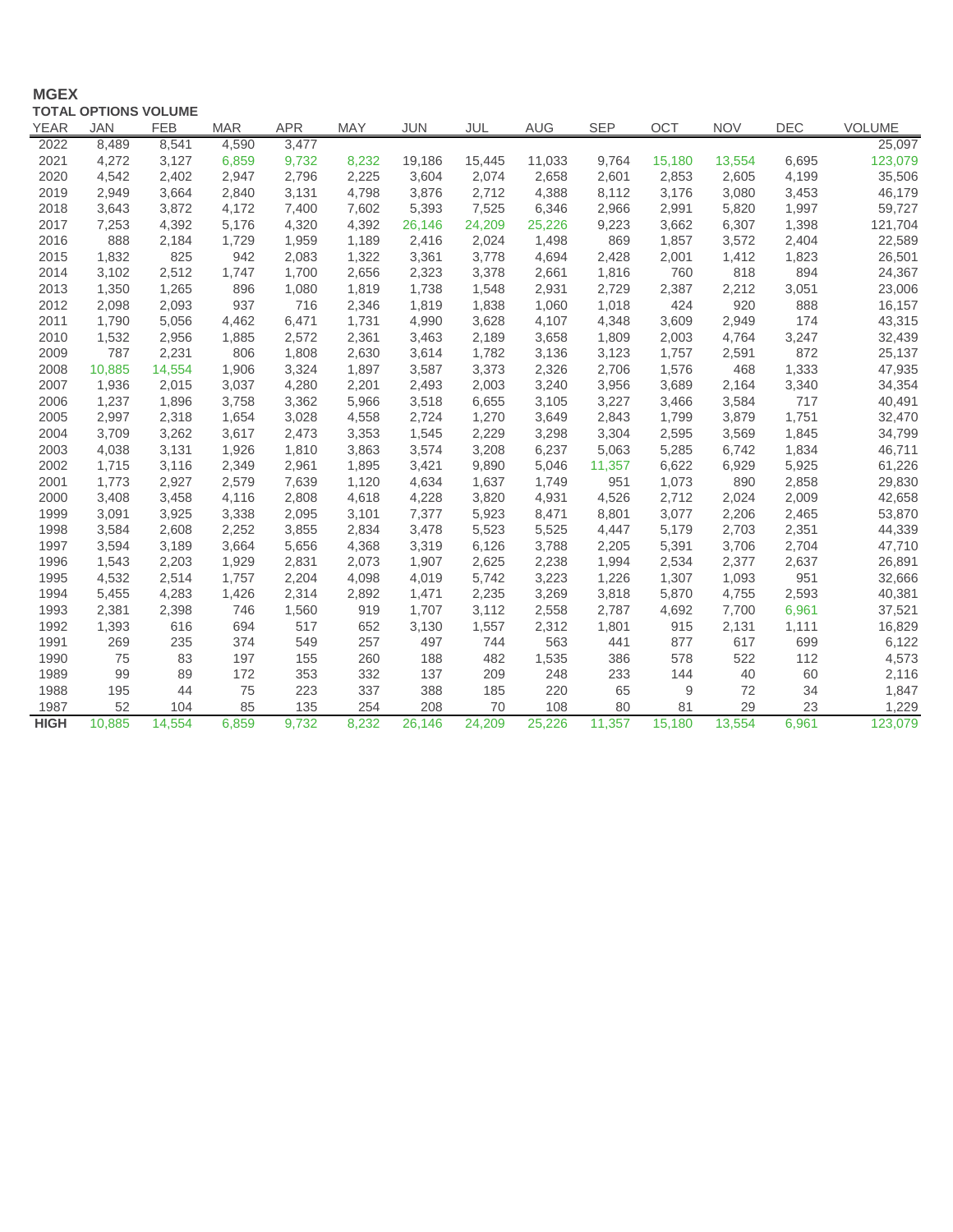## **MGEX**

|             | <b>TOTAL OPTIONS VOLUME</b> |            |            |            |            |            |        |            |            |        |            |            |               |
|-------------|-----------------------------|------------|------------|------------|------------|------------|--------|------------|------------|--------|------------|------------|---------------|
| <b>YEAR</b> | JAN                         | <b>FEB</b> | <b>MAR</b> | <b>APR</b> | <b>MAY</b> | <b>JUN</b> | JUL    | <b>AUG</b> | <b>SEP</b> | OCT    | <b>NOV</b> | <b>DEC</b> | <b>VOLUME</b> |
| 2022        | 8,489                       | 8,541      | 4,590      | 3,477      |            |            |        |            |            |        |            |            | 25,097        |
| 2021        | 4,272                       | 3,127      | 6,859      | 9,732      | 8,232      | 19,186     | 15,445 | 11,033     | 9,764      | 15,180 | 13,554     | 6,695      | 123,079       |
| 2020        | 4,542                       | 2,402      | 2,947      | 2,796      | 2,225      | 3,604      | 2,074  | 2,658      | 2,601      | 2,853  | 2,605      | 4,199      | 35,506        |
| 2019        | 2,949                       | 3,664      | 2,840      | 3,131      | 4,798      | 3,876      | 2,712  | 4,388      | 8,112      | 3,176  | 3,080      | 3,453      | 46,179        |
| 2018        | 3,643                       | 3,872      | 4,172      | 7,400      | 7,602      | 5,393      | 7,525  | 6,346      | 2,966      | 2,991  | 5,820      | 1,997      | 59,727        |
| 2017        | 7,253                       | 4,392      | 5,176      | 4,320      | 4,392      | 26,146     | 24,209 | 25,226     | 9,223      | 3,662  | 6,307      | 1,398      | 121,704       |
| 2016        | 888                         | 2,184      | 1,729      | 1,959      | 1,189      | 2,416      | 2,024  | 1,498      | 869        | 1,857  | 3,572      | 2,404      | 22,589        |
| 2015        | 1,832                       | 825        | 942        | 2,083      | 1,322      | 3,361      | 3,778  | 4,694      | 2,428      | 2,001  | 1,412      | 1,823      | 26,501        |
| 2014        | 3,102                       | 2,512      | 1,747      | 1,700      | 2,656      | 2,323      | 3,378  | 2,661      | 1,816      | 760    | 818        | 894        | 24,367        |
| 2013        | 1,350                       | 1,265      | 896        | 1,080      | 1,819      | 1,738      | 1,548  | 2,931      | 2,729      | 2,387  | 2,212      | 3,051      | 23,006        |
| 2012        | 2,098                       | 2,093      | 937        | 716        | 2,346      | 1,819      | 1,838  | 1,060      | 1,018      | 424    | 920        | 888        | 16,157        |
| 2011        | 1,790                       | 5,056      | 4,462      | 6,471      | 1,731      | 4,990      | 3,628  | 4,107      | 4,348      | 3,609  | 2,949      | 174        | 43,315        |
| 2010        | 1,532                       | 2,956      | 1,885      | 2,572      | 2,361      | 3,463      | 2,189  | 3,658      | 1,809      | 2,003  | 4,764      | 3,247      | 32,439        |
| 2009        | 787                         | 2,231      | 806        | 1,808      | 2,630      | 3,614      | 1,782  | 3,136      | 3,123      | 1,757  | 2,591      | 872        | 25,137        |
| 2008        | 10,885                      | 14,554     | 1,906      | 3,324      | 1,897      | 3,587      | 3,373  | 2,326      | 2,706      | 1,576  | 468        | 1,333      | 47,935        |
| 2007        | 1,936                       | 2,015      | 3,037      | 4,280      | 2,201      | 2,493      | 2,003  | 3,240      | 3,956      | 3,689  | 2,164      | 3,340      | 34,354        |
| 2006        | 1,237                       | 1,896      | 3,758      | 3,362      | 5,966      | 3,518      | 6,655  | 3,105      | 3,227      | 3,466  | 3,584      | 717        | 40,491        |
| 2005        | 2,997                       | 2,318      | 1,654      | 3,028      | 4,558      | 2,724      | 1,270  | 3,649      | 2,843      | 1,799  | 3,879      | 1,751      | 32,470        |
| 2004        | 3,709                       | 3,262      | 3,617      | 2,473      | 3,353      | 1,545      | 2,229  | 3,298      | 3,304      | 2,595  | 3,569      | 1,845      | 34,799        |
| 2003        | 4,038                       | 3,131      | 1,926      | 1,810      | 3,863      | 3,574      | 3,208  | 6,237      | 5,063      | 5,285  | 6,742      | 1,834      | 46,711        |
| 2002        | 1,715                       | 3,116      | 2,349      | 2,961      | 1,895      | 3,421      | 9,890  | 5,046      | 11,357     | 6,622  | 6,929      | 5,925      | 61,226        |
| 2001        | 1,773                       | 2,927      | 2,579      | 7,639      | 1,120      | 4,634      | 1,637  | 1,749      | 951        | 1,073  | 890        | 2,858      | 29,830        |
| 2000        | 3,408                       | 3,458      | 4,116      | 2,808      | 4,618      | 4,228      | 3,820  | 4,931      | 4,526      | 2,712  | 2,024      | 2,009      | 42,658        |
| 1999        | 3,091                       | 3,925      | 3,338      | 2,095      | 3,101      | 7,377      | 5,923  | 8,471      | 8,801      | 3,077  | 2,206      | 2,465      | 53,870        |
| 1998        | 3,584                       | 2,608      | 2,252      | 3,855      | 2,834      | 3,478      | 5,523  | 5,525      | 4,447      | 5,179  | 2,703      | 2,351      | 44,339        |
| 1997        | 3,594                       | 3,189      | 3,664      | 5,656      | 4,368      | 3,319      | 6,126  | 3,788      | 2,205      | 5,391  | 3,706      | 2,704      | 47,710        |
| 1996        | 1,543                       | 2,203      | 1,929      | 2,831      | 2,073      | 1,907      | 2,625  | 2,238      | 1,994      | 2,534  | 2,377      | 2,637      | 26,891        |
| 1995        | 4,532                       | 2,514      | 1,757      | 2,204      | 4,098      | 4,019      | 5,742  | 3,223      | 1,226      | 1,307  | 1,093      | 951        | 32,666        |
| 1994        | 5,455                       | 4,283      | 1,426      | 2,314      | 2,892      | 1,471      | 2,235  | 3,269      | 3,818      | 5,870  | 4,755      | 2,593      | 40,381        |
| 1993        | 2,381                       | 2,398      | 746        | 1,560      | 919        | 1,707      | 3,112  | 2,558      | 2,787      | 4,692  | 7,700      | 6,961      | 37,521        |
| 1992        | 1,393                       | 616        | 694        | 517        | 652        | 3,130      | 1,557  | 2,312      | 1,801      | 915    | 2,131      | 1,111      | 16,829        |
| 1991        | 269                         | 235        | 374        | 549        | 257        | 497        | 744    | 563        | 441        | 877    | 617        | 699        | 6,122         |
| 1990        | 75                          | 83         | 197        | 155        | 260        | 188        | 482    | 1,535      | 386        | 578    | 522        | 112        | 4,573         |
| 1989        | 99                          | 89         | 172        | 353        | 332        | 137        | 209    | 248        | 233        | 144    | 40         | 60         | 2,116         |
| 1988        | 195                         | 44         | 75         | 223        | 337        | 388        | 185    | 220        | 65         | 9      | 72         | 34         | 1,847         |
| 1987        | 52                          | 104        | 85         | 135        | 254        | 208        | 70     | 108        | 80         | 81     | 29         | 23         | 1,229         |
| <b>HIGH</b> | 10.885                      | 14.554     | 6.859      | 9.732      | 8,232      | 26,146     | 24,209 | 25,226     | 11,357     | 15.180 | 13.554     | 6.961      | 123,079       |